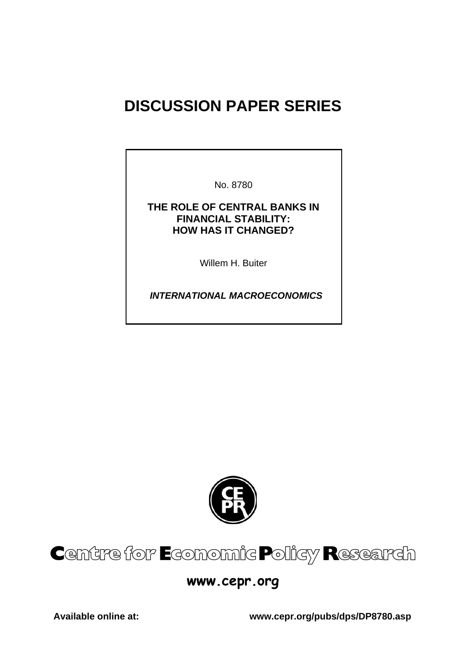# **DISCUSSION PAPER SERIES**

No. 8780

**THE ROLE OF CENTRAL BANKS IN FINANCIAL STABILITY: HOW HAS IT CHANGED?** 

Willem H. Buiter

 *INTERNATIONAL MACROECONOMICS* 



# Centre for Economic Policy Research

### **www.cepr.org**

**Available online at: www.cepr.org/pubs/dps/DP8780.asp**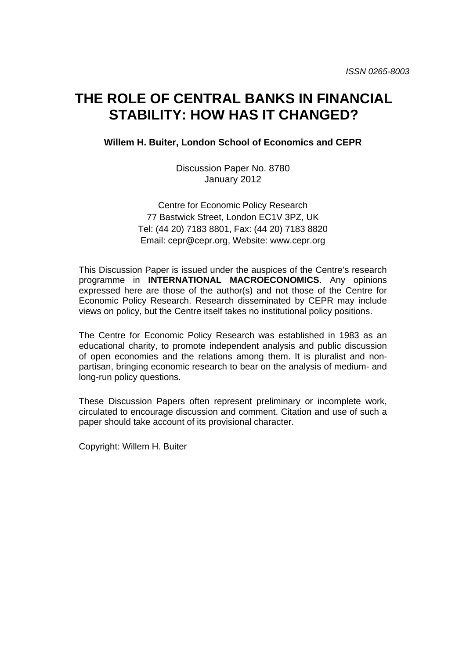# **THE ROLE OF CENTRAL BANKS IN FINANCIAL STABILITY: HOW HAS IT CHANGED?**

### **Willem H. Buiter, London School of Economics and CEPR**

Discussion Paper No. 8780 January 2012

Centre for Economic Policy Research 77 Bastwick Street, London EC1V 3PZ, UK Tel: (44 20) 7183 8801, Fax: (44 20) 7183 8820 Email: cepr@cepr.org, Website: www.cepr.org

This Discussion Paper is issued under the auspices of the Centre's research programme in **INTERNATIONAL MACROECONOMICS**. Any opinions expressed here are those of the author(s) and not those of the Centre for Economic Policy Research. Research disseminated by CEPR may include views on policy, but the Centre itself takes no institutional policy positions.

The Centre for Economic Policy Research was established in 1983 as an educational charity, to promote independent analysis and public discussion of open economies and the relations among them. It is pluralist and nonpartisan, bringing economic research to bear on the analysis of medium- and long-run policy questions.

These Discussion Papers often represent preliminary or incomplete work, circulated to encourage discussion and comment. Citation and use of such a paper should take account of its provisional character.

Copyright: Willem H. Buiter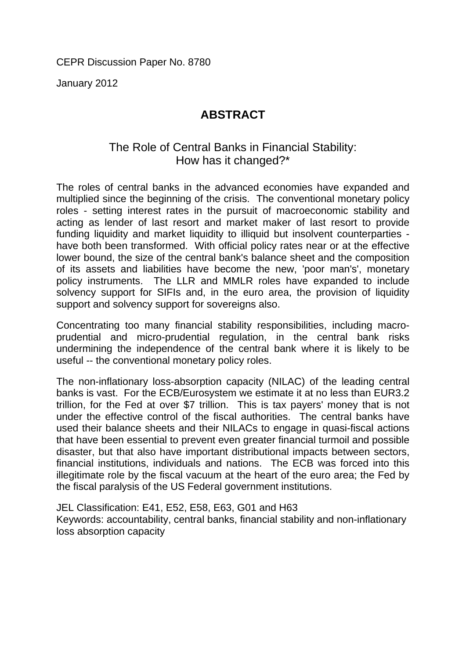CEPR Discussion Paper No. 8780

January 2012

### **ABSTRACT**

### The Role of Central Banks in Financial Stability: How has it changed?\*

The roles of central banks in the advanced economies have expanded and multiplied since the beginning of the crisis. The conventional monetary policy roles - setting interest rates in the pursuit of macroeconomic stability and acting as lender of last resort and market maker of last resort to provide funding liquidity and market liquidity to illiquid but insolvent counterparties have both been transformed. With official policy rates near or at the effective lower bound, the size of the central bank's balance sheet and the composition of its assets and liabilities have become the new, 'poor man's', monetary policy instruments. The LLR and MMLR roles have expanded to include solvency support for SIFIs and, in the euro area, the provision of liquidity support and solvency support for sovereigns also.

Concentrating too many financial stability responsibilities, including macroprudential and micro-prudential regulation, in the central bank risks undermining the independence of the central bank where it is likely to be useful -- the conventional monetary policy roles.

The non-inflationary loss-absorption capacity (NILAC) of the leading central banks is vast. For the ECB/Eurosystem we estimate it at no less than EUR3.2 trillion, for the Fed at over \$7 trillion. This is tax payers' money that is not under the effective control of the fiscal authorities. The central banks have used their balance sheets and their NILACs to engage in quasi-fiscal actions that have been essential to prevent even greater financial turmoil and possible disaster, but that also have important distributional impacts between sectors, financial institutions, individuals and nations. The ECB was forced into this illegitimate role by the fiscal vacuum at the heart of the euro area; the Fed by the fiscal paralysis of the US Federal government institutions.

JEL Classification: E41, E52, E58, E63, G01 and H63 Keywords: accountability, central banks, financial stability and non-inflationary loss absorption capacity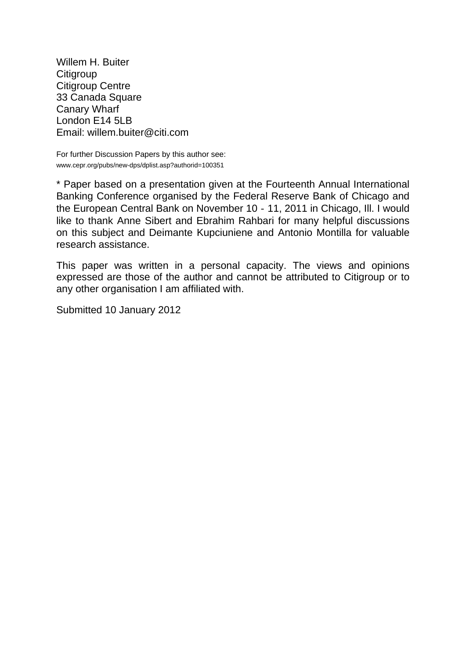Willem H. Buiter **Citigroup** Citigroup Centre 33 Canada Square Canary Wharf London E14 5LB Email: willem.buiter@citi.com

For further Discussion Papers by this author see: www.cepr.org/pubs/new-dps/dplist.asp?authorid=100351

\* Paper based on a presentation given at the Fourteenth Annual International Banking Conference organised by the Federal Reserve Bank of Chicago and the European Central Bank on November 10‐11, 2011 in Chicago, Ill. I would like to thank Anne Sibert and Ebrahim Rahbari for many helpful discussions on this subject and Deimante Kupciuniene and Antonio Montilla for valuable research assistance.

This paper was written in a personal capacity. The views and opinions expressed are those of the author and cannot be attributed to Citigroup or to any other organisation I am affiliated with.

Submitted 10 January 2012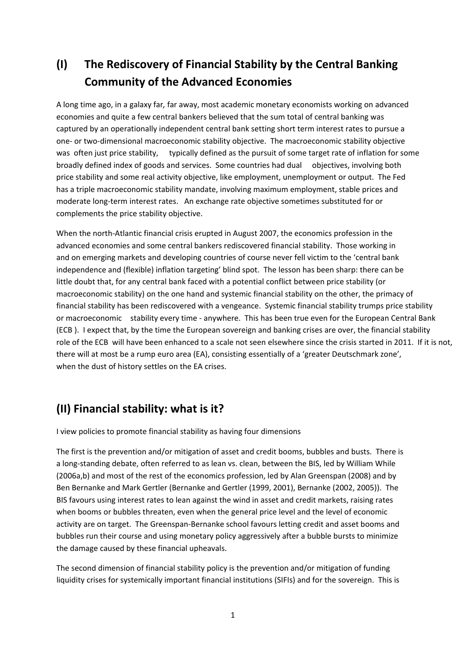# **(I) The Rediscovery of Financial Stability by the Central Banking Community of the Advanced Economies**

A long time ago, in a galaxy far*,* far away, most academic monetary economists working on advanced economies and quite a few central bankers believed that the sum total of central banking was captured by an operationally independent central bank setting short term interest rates to pursue a one‐ or two‐dimensional macroeconomic stability objective. The macroeconomic stability objective was often just price stability, typically defined as the pursuit of some target rate of inflation for some broadly defined index of goods and services. Some countries had dual objectives, involving both price stability and some real activity objective, like employment, unemployment or output. The Fed has a triple macroeconomic stability mandate, involving maximum employment, stable prices and moderate long‐term interest rates. An exchange rate objective sometimes substituted for or complements the price stability objective.

When the north‐Atlantic financial crisis erupted in August 2007, the economics profession in the advanced economies and some central bankers rediscovered financial stability. Those working in and on emerging markets and developing countries of course never fell victim to the 'central bank independence and (flexible) inflation targeting' blind spot. The lesson has been sharp: there can be little doubt that, for any central bank faced with a potential conflict between price stability (or macroeconomic stability) on the one hand and systemic financial stability on the other, the primacy of financial stability has been rediscovered with a vengeance. Systemic financial stability trumps price stability or macroeconomic stability every time ‐ anywhere. This has been true even for the European Central Bank (ECB ). I expect that, by the time the European sovereign and banking crises are over, the financial stability role of the ECB will have been enhanced to a scale not seen elsewhere since the crisis started in 2011. If it is not, there will at most be a rump euro area (EA), consisting essentially of a 'greater Deutschmark zone', when the dust of history settles on the EA crises.

## **(II) Financial stability: what is it?**

I view policies to promote financial stability as having four dimensions

The first is the prevention and/or mitigation of asset and credit booms, bubbles and busts. There is a long-standing debate, often referred to as lean vs. clean, between the BIS, led by William While (2006a,b) and most of the rest of the economics profession, led by Alan Greenspan (2008) and by Ben Bernanke and Mark Gertler (Bernanke and Gertler (1999, 2001), Bernanke (2002, 2005)). The BIS favours using interest rates to lean against the wind in asset and credit markets, raising rates when booms or bubbles threaten, even when the general price level and the level of economic activity are on target. The Greenspan‐Bernanke school favours letting credit and asset booms and bubbles run their course and using monetary policy aggressively after a bubble bursts to minimize the damage caused by these financial upheavals.

The second dimension of financial stability policy is the prevention and/or mitigation of funding liquidity crises for systemically important financial institutions (SIFIs) and for the sovereign. This is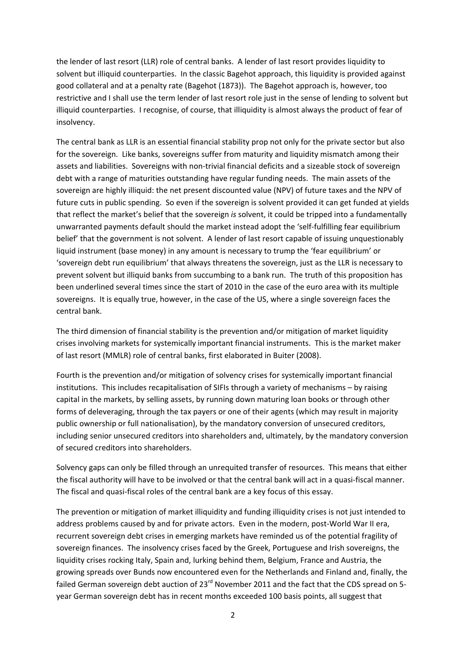the lender of last resort (LLR) role of central banks. A lender of last resort provides liquidity to solvent but illiquid counterparties. In the classic Bagehot approach, this liquidity is provided against good collateral and at a penalty rate (Bagehot (1873)). The Bagehot approach is, however, too restrictive and I shall use the term lender of last resort role just in the sense of lending to solvent but illiquid counterparties. I recognise, of course, that illiquidity is almost always the product of fear of insolvency.

The central bank as LLR is an essential financial stability prop not only for the private sector but also for the sovereign. Like banks, sovereigns suffer from maturity and liquidity mismatch among their assets and liabilities. Sovereigns with non-trivial financial deficits and a sizeable stock of sovereign debt with a range of maturities outstanding have regular funding needs. The main assets of the sovereign are highly illiquid: the net present discounted value (NPV) of future taxes and the NPV of future cuts in public spending. So even if the sovereign is solvent provided it can get funded at yields that reflect the market's belief that the sovereign *is* solvent, it could be tripped into a fundamentally unwarranted payments default should the market instead adopt the 'self‐fulfilling fear equilibrium belief' that the government is not solvent. A lender of last resort capable of issuing unquestionably liquid instrument (base money) in any amount is necessary to trump the 'fear equilibrium' or 'sovereign debt run equilibrium' that always threatens the sovereign, just as the LLR is necessary to prevent solvent but illiquid banks from succumbing to a bank run. The truth of this proposition has been underlined several times since the start of 2010 in the case of the euro area with its multiple sovereigns. It is equally true, however, in the case of the US, where a single sovereign faces the central bank.

The third dimension of financial stability is the prevention and/or mitigation of market liquidity crises involving markets for systemically important financial instruments. This is the market maker of last resort (MMLR) role of central banks, first elaborated in Buiter (2008).

Fourth is the prevention and/or mitigation of solvency crises for systemically important financial institutions. This includes recapitalisation of SIFIs through a variety of mechanisms – by raising capital in the markets, by selling assets, by running down maturing loan books or through other forms of deleveraging, through the tax payers or one of their agents (which may result in majority public ownership or full nationalisation), by the mandatory conversion of unsecured creditors, including senior unsecured creditors into shareholders and, ultimately, by the mandatory conversion of secured creditors into shareholders.

Solvency gaps can only be filled through an unrequited transfer of resources. This means that either the fiscal authority will have to be involved or that the central bank will act in a quasi‐fiscal manner. The fiscal and quasi‐fiscal roles of the central bank are a key focus of this essay.

The prevention or mitigation of market illiquidity and funding illiquidity crises is not just intended to address problems caused by and for private actors. Even in the modern, post-World War II era, recurrent sovereign debt crises in emerging markets have reminded us of the potential fragility of sovereign finances. The insolvency crises faced by the Greek, Portuguese and Irish sovereigns, the liquidity crises rocking Italy, Spain and, lurking behind them, Belgium, France and Austria, the growing spreads over Bunds now encountered even for the Netherlands and Finland and, finally, the failed German sovereign debt auction of 23<sup>rd</sup> November 2011 and the fact that the CDS spread on 5year German sovereign debt has in recent months exceeded 100 basis points, all suggest that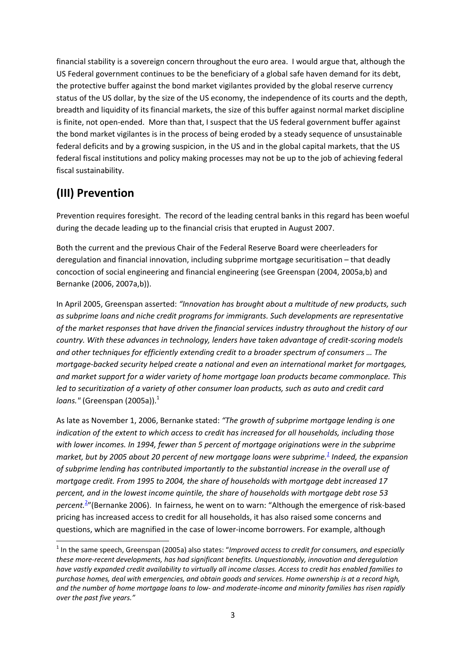financial stability is a sovereign concern throughout the euro area. I would argue that, although the US Federal government continues to be the beneficiary of a global safe haven demand for its debt, the protective buffer against the bond market vigilantes provided by the global reserve currency status of the US dollar, by the size of the US economy, the independence of its courts and the depth, breadth and liquidity of its financial markets, the size of this buffer against normal market discipline is finite, not open-ended. More than that, I suspect that the US federal government buffer against the bond market vigilantes is in the process of being eroded by a steady sequence of unsustainable federal deficits and by a growing suspicion, in the US and in the global capital markets, that the US federal fiscal institutions and policy making processes may not be up to the job of achieving federal fiscal sustainability.

### **(III) Prevention**

Prevention requires foresight. The record of the leading central banks in this regard has been woeful during the decade leading up to the financial crisis that erupted in August 2007.

Both the current and the previous Chair of the Federal Reserve Board were cheerleaders for deregulation and financial innovation, including subprime mortgage securitisation – that deadly concoction of social engineering and financial engineering (see Greenspan (2004, 2005a,b) and Bernanke (2006, 2007a,b)).

In April 2005, Greenspan asserted: *"Innovation has brought about a multitude of new products, such as subprime loans and niche credit programs for immigrants. Such developments are representative of the market responses that have driven the financial services industry throughout the history of our country. With these advances in technology, lenders have taken advantage of credit‐scoring models and other techniques for efficiently extending credit to a broader spectrum of consumers … The mortgage‐backed security helped create a national and even an international market for mortgages, and market support for a wider variety of home mortgage loan products became commonplace. This led to securitization of a variety of other consumer loan products, such as auto and credit card loans."* (Greenspan (2005a)).<sup>1</sup>

As late as November 1, 2006, Bernanke stated: *"The growth of subprime mortgage lending is one indication of the extent to which access to credit has increased for all households, including those with lower incomes. In 1994, fewer than 5 percent of mortgage originations were in the subprime market, but by 2005 about 20 percent of new mortgage loans were subprime.<sup>1</sup> Indeed, the expansion of subprime lending has contributed importantly to the substantial increase in the overall use of mortgage credit. From 1995 to 2004, the share of households with mortgage debt increased 17 percent, and in the lowest income quintile, the share of households with mortgage debt rose 53 percent.*<sup>2</sup> "(Bernanke 2006). In fairness, he went on to warn: "Although the emergence of risk‐based pricing has increased access to credit for all households, it has also raised some concerns and questions, which are magnified in the case of lower‐income borrowers. For example, although

<sup>1</sup> In the same speech, Greenspan (2005a) also states: "*Improved access to credit for consumers, and especially these more‐recent developments, has had significant benefits. Unquestionably, innovation and deregulation* have vastly expanded credit availability to virtually all income classes. Access to credit has enabled families to *purchase homes, deal with emergencies, and obtain goods and services. Home ownership is at a record high,* and the number of home mortgage loans to low- and moderate-income and minority families has risen rapidly *over the past five years."*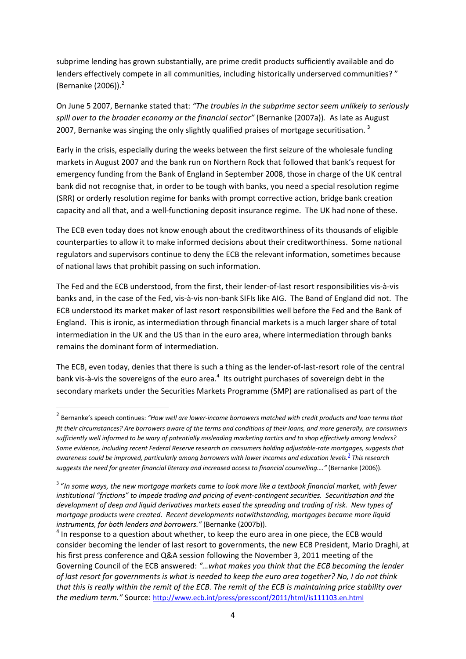subprime lending has grown substantially, are prime credit products sufficiently available and do lenders effectively compete in all communities, including historically underserved communities? " (Bernanke (2006)).<sup>2</sup>

On June 5 2007, Bernanke stated that: *"The troubles in the subprime sector seem unlikely to seriously spill over to the broader economy or the financial sector"* (Bernanke (2007a))*.* As late as August 2007, Bernanke was singing the only slightly qualified praises of mortgage securitisation.<sup>3</sup>

Early in the crisis, especially during the weeks between the first seizure of the wholesale funding markets in August 2007 and the bank run on Northern Rock that followed that bank's request for emergency funding from the Bank of England in September 2008, those in charge of the UK central bank did not recognise that, in order to be tough with banks, you need a special resolution regime (SRR) or orderly resolution regime for banks with prompt corrective action, bridge bank creation capacity and all that, and a well‐functioning deposit insurance regime. The UK had none of these.

The ECB even today does not know enough about the creditworthiness of its thousands of eligible counterparties to allow it to make informed decisions about their creditworthiness. Some national regulators and supervisors continue to deny the ECB the relevant information, sometimes because of national laws that prohibit passing on such information.

The Fed and the ECB understood, from the first, their lender-of-last resort responsibilities vis-à-vis banks and, in the case of the Fed, vis‐à‐vis non‐bank SIFIs like AIG. The Band of England did not. The ECB understood its market maker of last resort responsibilities well before the Fed and the Bank of England. This is ironic, as intermediation through financial markets is a much larger share of total intermediation in the UK and the US than in the euro area, where intermediation through banks remains the dominant form of intermediation.

The ECB, even today, denies that there is such a thing as the lender‐of‐last‐resort role of the central bank vis-à-vis the sovereigns of the euro area.<sup>4</sup> Its outright purchases of sovereign debt in the secondary markets under the Securities Markets Programme (SMP) are rationalised as part of the

<sup>2</sup> Bernanke's speech continues: *"How well are lower‐income borrowers matched with credit products and loan terms that* fit their circumstances? Are borrowers aware of the terms and conditions of their loans, and more generally, are consumers sufficiently well informed to be wary of potentially misleading marketing tactics and to shop effectively among lenders? Some evidence, including recent Federal Reserve research on consumers holding adjustable-rate mortgages, suggests that *awareness could be improved, particularly among borrowers with lower incomes and education levels.3 This research suggests the need for greater financial literacy and increased access to financial counselling…."* (Bernanke (2006)).

<sup>&</sup>lt;sup>3</sup> "In some ways, the new mortgage markets came to look more like a textbook financial market, with fewer *institutional "frictions" to impede trading and pricing of event‐contingent securities. Securitisation and the* development of deep and liquid derivatives markets eased the spreading and trading of risk. New types of *mortgage products were created. Recent developments notwithstanding, mortgages became more liquid instruments, for both lenders and borrowers."* (Bernanke (2007b)).

 $4$  In response to a question about whether, to keep the euro area in one piece, the ECB would consider becoming the lender of last resort to governments, the new ECB President, Mario Draghi, at his first press conference and Q&A session following the November 3, 2011 meeting of the Governing Council of the ECB answered: *"…what makes you think that the ECB becoming the lender* of last resort for governments is what is needed to keep the euro area together? No, I do not think that this is really within the remit of the ECB. The remit of the ECB is maintaining price stability over *the medium term."* Source: http://www.ecb.int/press/pressconf/2011/html/is111103.en.html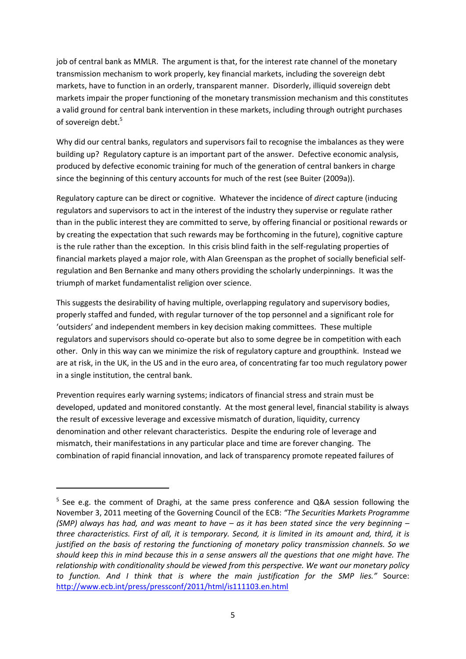job of central bank as MMLR. The argument is that, for the interest rate channel of the monetary transmission mechanism to work properly, key financial markets, including the sovereign debt markets, have to function in an orderly, transparent manner. Disorderly, illiquid sovereign debt markets impair the proper functioning of the monetary transmission mechanism and this constitutes a valid ground for central bank intervention in these markets, including through outright purchases of sovereign debt.<sup>5</sup>

Why did our central banks, regulators and supervisors fail to recognise the imbalances as they were building up? Regulatory capture is an important part of the answer. Defective economic analysis, produced by defective economic training for much of the generation of central bankers in charge since the beginning of this century accounts for much of the rest (see Buiter (2009a)).

Regulatory capture can be direct or cognitive. Whatever the incidence of *direct* capture (inducing regulators and supervisors to act in the interest of the industry they supervise or regulate rather than in the public interest they are committed to serve, by offering financial or positional rewards or by creating the expectation that such rewards may be forthcoming in the future), cognitive capture is the rule rather than the exception. In this crisis blind faith in the self-regulating properties of financial markets played a major role, with Alan Greenspan as the prophet of socially beneficial self‐ regulation and Ben Bernanke and many others providing the scholarly underpinnings. It was the triumph of market fundamentalist religion over science.

This suggests the desirability of having multiple, overlapping regulatory and supervisory bodies, properly staffed and funded, with regular turnover of the top personnel and a significant role for 'outsiders' and independent members in key decision making committees. These multiple regulators and supervisors should co-operate but also to some degree be in competition with each other. Only in this way can we minimize the risk of regulatory capture and groupthink. Instead we are at risk, in the UK, in the US and in the euro area, of concentrating far too much regulatory power in a single institution, the central bank.

Prevention requires early warning systems; indicators of financial stress and strain must be developed, updated and monitored constantly. At the most general level, financial stability is always the result of excessive leverage and excessive mismatch of duration, liquidity, currency denomination and other relevant characteristics. Despite the enduring role of leverage and mismatch, their manifestations in any particular place and time are forever changing. The combination of rapid financial innovation, and lack of transparency promote repeated failures of

 $5$  See e.g. the comment of Draghi, at the same press conference and Q&A session following the November 3, 2011 meeting of the Governing Council of the ECB: *"The Securities Markets Programme* (SMP) always has had, and was meant to have  $-$  as it has been stated since the very beginning  $$ three characteristics. First of all, it is temporary. Second, it is limited in its amount and, third, it is *justified on the basis of restoring the functioning of monetary policy transmission channels. So we* should keep this in mind because this in a sense answers all the questions that one might have. The *relationship with conditionality should be viewed from this perspective. We want our monetary policy to function. And I think that is where the main justification for the SMP lies."* Source: http://www.ecb.int/press/pressconf/2011/html/is111103.en.html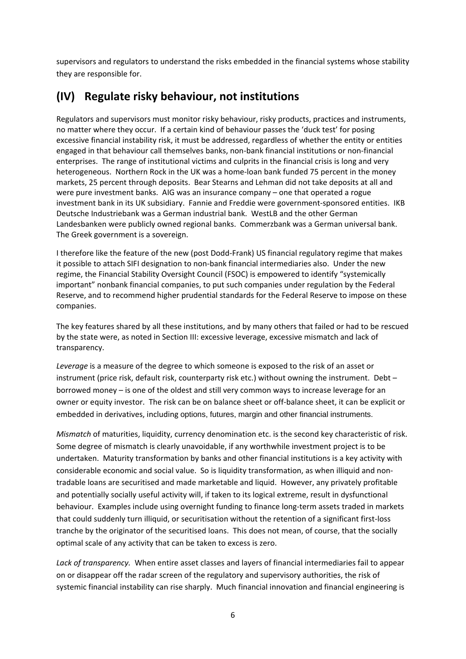supervisors and regulators to understand the risks embedded in the financial systems whose stability they are responsible for.

### **(IV) Regulate risky behaviour, not institutions**

Regulators and supervisors must monitor risky behaviour, risky products, practices and instruments, no matter where they occur. If a certain kind of behaviour passes the 'duck test' for posing excessive financial instability risk, it must be addressed, regardless of whether the entity or entities engaged in that behaviour call themselves banks, non‐bank financial institutions or non‐financial enterprises. The range of institutional victims and culprits in the financial crisis is long and very heterogeneous. Northern Rock in the UK was a home-loan bank funded 75 percent in the money markets, 25 percent through deposits. Bear Stearns and Lehman did not take deposits at all and were pure investment banks. AIG was an insurance company – one that operated a rogue investment bank in its UK subsidiary. Fannie and Freddie were government‐sponsored entities. IKB Deutsche Industriebank was a German industrial bank. WestLB and the other German Landesbanken were publicly owned regional banks. Commerzbank was a German universal bank. The Greek government is a sovereign.

I therefore like the feature of the new (post Dodd‐Frank) US financial regulatory regime that makes it possible to attach SIFI designation to non‐bank financial intermediaries also. Under the new regime, the Financial Stability Oversight Council (FSOC) is empowered to identify "systemically important" nonbank financial companies, to put such companies under regulation by the Federal Reserve, and to recommend higher prudential standards for the Federal Reserve to impose on these companies.

The key features shared by all these institutions, and by many others that failed or had to be rescued by the state were, as noted in Section III: excessive leverage, excessive mismatch and lack of transparency.

*Leverage* is a measure of the degree to which someone is exposed to the risk of an asset or instrument (price risk, default risk, counterparty risk etc.) without owning the instrument. Debt – borrowed money – is one of the oldest and still very common ways to increase leverage for an owner or equity investor. The risk can be on balance sheet or off‐balance sheet, it can be explicit or embedded in derivatives, including options, futures, margin and other financial instruments.

*Mismatch* of maturities, liquidity, currency denomination etc. is the second key characteristic of risk. Some degree of mismatch is clearly unavoidable, if any worthwhile investment project is to be undertaken. Maturity transformation by banks and other financial institutions is a key activity with considerable economic and social value. So is liquidity transformation, as when illiquid and non‐ tradable loans are securitised and made marketable and liquid. However, any privately profitable and potentially socially useful activity will, if taken to its logical extreme, result in dysfunctional behaviour. Examples include using overnight funding to finance long‐term assets traded in markets that could suddenly turn illiquid, or securitisation without the retention of a significant first-loss tranche by the originator of the securitised loans. This does not mean, of course, that the socially optimal scale of any activity that can be taken to excess is zero.

*Lack of transparency.* When entire asset classes and layers of financial intermediaries fail to appear on or disappear off the radar screen of the regulatory and supervisory authorities, the risk of systemic financial instability can rise sharply. Much financial innovation and financial engineering is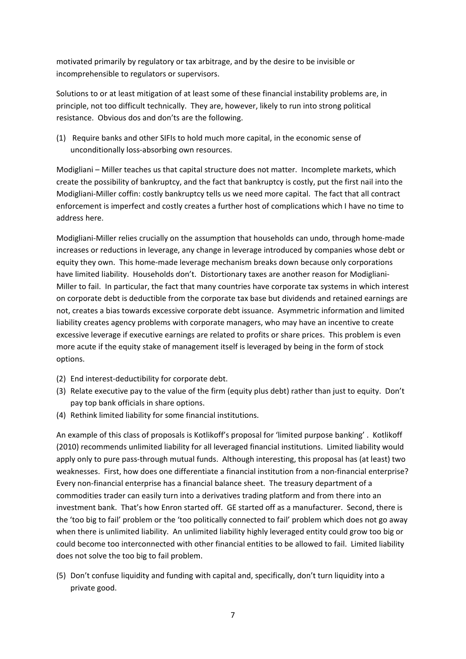motivated primarily by regulatory or tax arbitrage, and by the desire to be invisible or incomprehensible to regulators or supervisors.

Solutions to or at least mitigation of at least some of these financial instability problems are, in principle, not too difficult technically. They are, however, likely to run into strong political resistance. Obvious dos and don'ts are the following.

(1) Require banks and other SIFIs to hold much more capital, in the economic sense of unconditionally loss‐absorbing own resources.

Modigliani – Miller teaches us that capital structure does not matter. Incomplete markets, which create the possibility of bankruptcy, and the fact that bankruptcy is costly, put the first nail into the Modigliani‐Miller coffin: costly bankruptcy tells us we need more capital. The fact that all contract enforcement is imperfect and costly creates a further host of complications which I have no time to address here.

Modigliani-Miller relies crucially on the assumption that households can undo, through home-made increases or reductions in leverage, any change in leverage introduced by companies whose debt or equity they own. This home‐made leverage mechanism breaks down because only corporations have limited liability. Households don't. Distortionary taxes are another reason for Modigliani-Miller to fail. In particular, the fact that many countries have corporate tax systems in which interest on corporate debt is deductible from the corporate tax base but dividends and retained earnings are not, creates a bias towards excessive corporate debt issuance. Asymmetric information and limited liability creates agency problems with corporate managers, who may have an incentive to create excessive leverage if executive earnings are related to profits or share prices. This problem is even more acute if the equity stake of management itself is leveraged by being in the form of stock options.

- (2) End interest‐deductibility for corporate debt.
- (3) Relate executive pay to the value of the firm (equity plus debt) rather than just to equity. Don't pay top bank officials in share options.
- (4) Rethink limited liability for some financial institutions.

An example of this class of proposals is Kotlikoff's proposal for 'limited purpose banking' . Kotlikoff (2010) recommends unlimited liability for all leveraged financial institutions. Limited liability would apply only to pure pass-through mutual funds. Although interesting, this proposal has (at least) two weaknesses. First, how does one differentiate a financial institution from a non-financial enterprise? Every non‐financial enterprise has a financial balance sheet. The treasury department of a commodities trader can easily turn into a derivatives trading platform and from there into an investment bank. That's how Enron started off. GE started off as a manufacturer. Second, there is the 'too big to fail' problem or the 'too politically connected to fail' problem which does not go away when there is unlimited liability. An unlimited liability highly leveraged entity could grow too big or could become too interconnected with other financial entities to be allowed to fail. Limited liability does not solve the too big to fail problem.

(5) Don't confuse liquidity and funding with capital and, specifically, don't turn liquidity into a private good.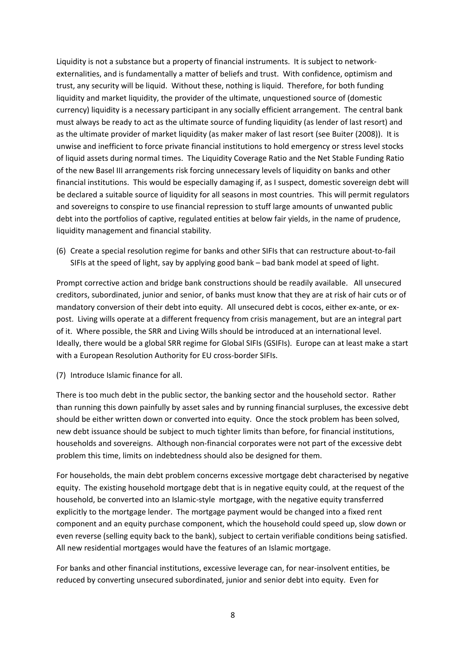Liquidity is not a substance but a property of financial instruments. It is subject to network‐ externalities, and is fundamentally a matter of beliefs and trust. With confidence, optimism and trust, any security will be liquid. Without these, nothing is liquid. Therefore, for both funding liquidity and market liquidity, the provider of the ultimate, unquestioned source of (domestic currency) liquidity is a necessary participant in any socially efficient arrangement. The central bank must always be ready to act as the ultimate source of funding liquidity (as lender of last resort) and as the ultimate provider of market liquidity (as maker maker of last resort (see Buiter (2008)). It is unwise and inefficient to force private financial institutions to hold emergency or stress level stocks of liquid assets during normal times. The Liquidity Coverage Ratio and the Net Stable Funding Ratio of the new Basel III arrangements risk forcing unnecessary levels of liquidity on banks and other financial institutions. This would be especially damaging if, as I suspect, domestic sovereign debt will be declared a suitable source of liquidity for all seasons in most countries. This will permit regulators and sovereigns to conspire to use financial repression to stuff large amounts of unwanted public debt into the portfolios of captive, regulated entities at below fair yields, in the name of prudence, liquidity management and financial stability.

(6) Create a special resolution regime for banks and other SIFIs that can restructure about‐to‐fail SIFIs at the speed of light, say by applying good bank – bad bank model at speed of light.

Prompt corrective action and bridge bank constructions should be readily available. All unsecured creditors, subordinated, junior and senior, of banks must know that they are at risk of hair cuts or of mandatory conversion of their debt into equity. All unsecured debt is cocos, either ex-ante, or expost. Living wills operate at a different frequency from crisis management, but are an integral part of it. Where possible, the SRR and Living Wills should be introduced at an international level. Ideally, there would be a global SRR regime for Global SIFIs (GSIFIs). Europe can at least make a start with a European Resolution Authority for EU cross-border SIFIs.

(7) Introduce Islamic finance for all.

There is too much debt in the public sector, the banking sector and the household sector. Rather than running this down painfully by asset sales and by running financial surpluses, the excessive debt should be either written down or converted into equity. Once the stock problem has been solved, new debt issuance should be subject to much tighter limits than before, for financial institutions, households and sovereigns. Although non-financial corporates were not part of the excessive debt problem this time, limits on indebtedness should also be designed for them.

For households, the main debt problem concerns excessive mortgage debt characterised by negative equity. The existing household mortgage debt that is in negative equity could, at the request of the household, be converted into an Islamic‐style mortgage, with the negative equity transferred explicitly to the mortgage lender. The mortgage payment would be changed into a fixed rent component and an equity purchase component, which the household could speed up, slow down or even reverse (selling equity back to the bank), subject to certain verifiable conditions being satisfied. All new residential mortgages would have the features of an Islamic mortgage.

For banks and other financial institutions, excessive leverage can, for near-insolvent entities, be reduced by converting unsecured subordinated, junior and senior debt into equity. Even for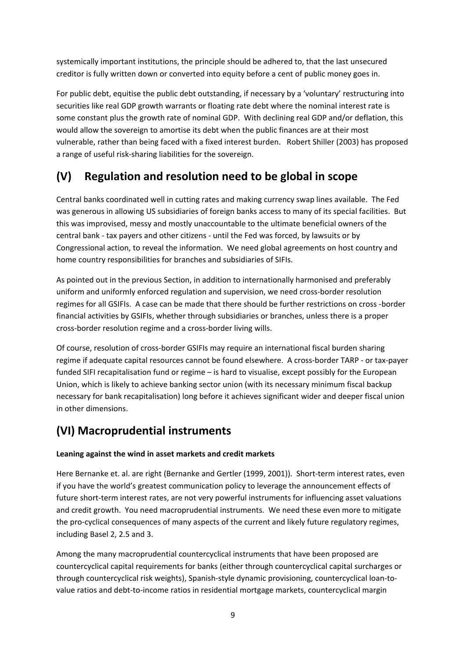systemically important institutions, the principle should be adhered to, that the last unsecured creditor is fully written down or converted into equity before a cent of public money goes in.

For public debt, equitise the public debt outstanding, if necessary by a 'voluntary' restructuring into securities like real GDP growth warrants or floating rate debt where the nominal interest rate is some constant plus the growth rate of nominal GDP. With declining real GDP and/or deflation, this would allow the sovereign to amortise its debt when the public finances are at their most vulnerable, rather than being faced with a fixed interest burden. Robert Shiller (2003) has proposed a range of useful risk‐sharing liabilities for the sovereign.

## **(V) Regulation and resolution need to be global in scope**

Central banks coordinated well in cutting rates and making currency swap lines available. The Fed was generous in allowing US subsidiaries of foreign banks access to many of its special facilities. But this was improvised, messy and mostly unaccountable to the ultimate beneficial owners of the central bank ‐ tax payers and other citizens ‐ until the Fed was forced, by lawsuits or by Congressional action, to reveal the information. We need global agreements on host country and home country responsibilities for branches and subsidiaries of SIFIs.

As pointed out in the previous Section, in addition to internationally harmonised and preferably uniform and uniformly enforced regulation and supervision, we need cross‐border resolution regimes for all GSIFIs. A case can be made that there should be further restrictions on cross ‐border financial activities by GSIFIs, whether through subsidiaries or branches, unless there is a proper cross‐border resolution regime and a cross‐border living wills.

Of course, resolution of cross‐border GSIFIs may require an international fiscal burden sharing regime if adequate capital resources cannot be found elsewhere. A cross‐border TARP ‐ or tax‐payer funded SIFI recapitalisation fund or regime – is hard to visualise, except possibly for the European Union, which is likely to achieve banking sector union (with its necessary minimum fiscal backup necessary for bank recapitalisation) long before it achieves significant wider and deeper fiscal union in other dimensions.

### **(VI) Macroprudential instruments**

### **Leaning against the wind in asset markets and credit markets**

Here Bernanke et. al. are right (Bernanke and Gertler (1999, 2001)). Short‐term interest rates, even if you have the world's greatest communication policy to leverage the announcement effects of future short-term interest rates, are not very powerful instruments for influencing asset valuations and credit growth. You need macroprudential instruments. We need these even more to mitigate the pro‐cyclical consequences of many aspects of the current and likely future regulatory regimes, including Basel 2, 2.5 and 3.

Among the many macroprudential countercyclical instruments that have been proposed are countercyclical capital requirements for banks (either through countercyclical capital surcharges or through countercyclical risk weights), Spanish‐style dynamic provisioning, countercyclical loan‐to‐ value ratios and debt‐to‐income ratios in residential mortgage markets, countercyclical margin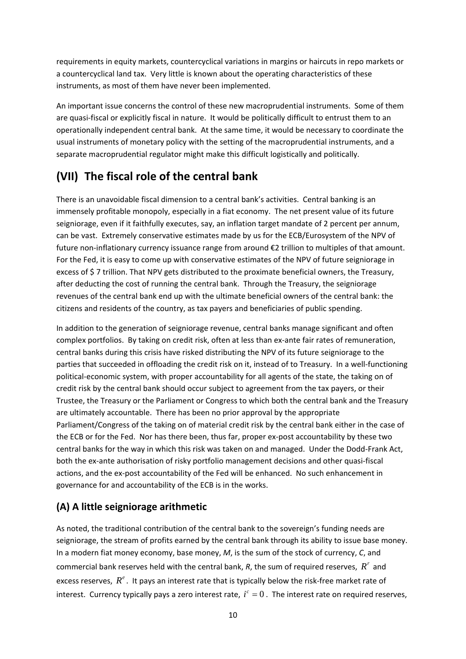requirements in equity markets, countercyclical variations in margins or haircuts in repo markets or a countercyclical land tax. Very little is known about the operating characteristics of these instruments, as most of them have never been implemented.

An important issue concerns the control of these new macroprudential instruments. Some of them are quasi-fiscal or explicitly fiscal in nature. It would be politically difficult to entrust them to an operationally independent central bank. At the same time, it would be necessary to coordinate the usual instruments of monetary policy with the setting of the macroprudential instruments, and a separate macroprudential regulator might make this difficult logistically and politically.

### **(VII) The fiscal role of the central bank**

There is an unavoidable fiscal dimension to a central bank's activities. Central banking is an immensely profitable monopoly, especially in a fiat economy. The net present value of its future seigniorage, even if it faithfully executes, say, an inflation target mandate of 2 percent per annum, can be vast. Extremely conservative estimates made by us for the ECB/Eurosystem of the NPV of future non‐inflationary currency issuance range from around €2 trillion to multiples of that amount. For the Fed, it is easy to come up with conservative estimates of the NPV of future seigniorage in excess of \$ 7 trillion. That NPV gets distributed to the proximate beneficial owners, the Treasury, after deducting the cost of running the central bank. Through the Treasury, the seigniorage revenues of the central bank end up with the ultimate beneficial owners of the central bank: the citizens and residents of the country, as tax payers and beneficiaries of public spending.

In addition to the generation of seigniorage revenue, central banks manage significant and often complex portfolios. By taking on credit risk, often at less than ex-ante fair rates of remuneration, central banks during this crisis have risked distributing the NPV of its future seigniorage to the parties that succeeded in offloading the credit risk on it, instead of to Treasury. In a well‐functioning political‐economic system, with proper accountability for all agents of the state, the taking on of credit risk by the central bank should occur subject to agreement from the tax payers, or their Trustee, the Treasury or the Parliament or Congress to which both the central bank and the Treasury are ultimately accountable. There has been no prior approval by the appropriate Parliament/Congress of the taking on of material credit risk by the central bank either in the case of the ECB or for the Fed. Nor has there been, thus far, proper ex-post accountability by these two central banks for the way in which this risk was taken on and managed. Under the Dodd‐Frank Act, both the ex-ante authorisation of risky portfolio management decisions and other quasi-fiscal actions, and the ex‐post accountability of the Fed will be enhanced. No such enhancement in governance for and accountability of the ECB is in the works.

### **(A) A little seigniorage arithmetic**

As noted, the traditional contribution of the central bank to the sovereign's funding needs are seigniorage, the stream of profits earned by the central bank through its ability to issue base money. In a modern fiat money economy, base money, *M*, is the sum of the stock of currency, *C*, and commercial bank reserves held with the central bank, *R*, the sum of required reserves, *R*<sup>*r*</sup> and excess reserves,  $R^e$ . It pays an interest rate that is typically below the risk-free market rate of interest. Currency typically pays a zero interest rate,  $i^c = 0$  . The interest rate on required reserves,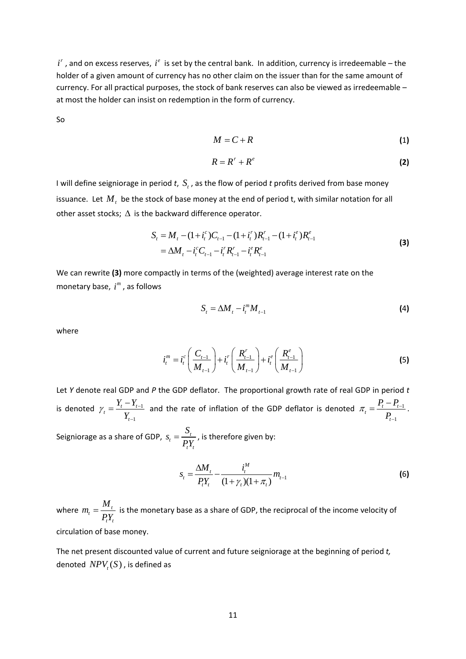$i^r$  , and on excess reserves,  $i^e$  is set by the central bank. In addition, currency is irredeemable – the holder of a given amount of currency has no other claim on the issuer than for the same amount of currency. For all practical purposes, the stock of bank reserves can also be viewed as irredeemable – at most the holder can insist on redemption in the form of currency.

So

$$
M = C + R \tag{1}
$$

$$
R = R^r + R^e \tag{2}
$$

I will define seigniorage in period *t*,  $S_t$ , as the flow of period *t* profits derived from base money issuance. Let  $M_t$  be the stock of base money at the end of period t, with similar notation for all other asset stocks;  $\Delta$  is the backward difference operator.

$$
S_{t} = M_{t} - (1 + i_{t}^{c})C_{t-1} - (1 + i_{t}^{r})R_{t-1}^{r} - (1 + i_{t}^{e})R_{t-1}^{e}
$$
  
=  $\Delta M_{t} - i_{t}^{c}C_{t-1} - i_{t}^{r}R_{t-1}^{r} - i_{t}^{e}R_{t-1}^{e}$  (3)

We can rewrite **(3)** more compactly in terms of the (weighted) average interest rate on the monetary base,  $i^m$ , as follows

$$
S_t = \Delta M_t - i_t^m M_{t-1} \tag{4}
$$

where

$$
i_t^m = i_t^c \left( \frac{C_{t-1}}{M_{t-1}} \right) + i_t^r \left( \frac{R_{t-1}^r}{M_{t-1}} \right) + i_t^e \left( \frac{R_{t-1}^e}{M_{t-1}} \right)
$$
(5)

Let *Y* denote real GDP and *P* the GDP deflator. The proportional growth rate of real GDP in period *t* is denoted  $\gamma_t = \frac{I_t - I_{t-1}}{I}$ 1  $\frac{1}{t} = \frac{I_t - I_t}{V}$ *t*  $\gamma_{t} = \frac{Y_{t} - Y_{t-}}{Y_{t-1}}$  $\alpha=\frac{Y_t-Y_{t-1}}{Y_t}$  and the rate of inflation of the GDP deflator is denoted  $\pi_t=\frac{P_t-P_{t-1}}{Y_t}$ 1  $\frac{1}{t} = \frac{I_t - I_t}{D}$ *t*  $P_{t} - P_{t}$ *P*  $\pi_{\cdot} = \frac{I_{t} - I_{t-}}{I_{t-}}$  $\overline{a}$  $=\frac{P_{t}-P_{t-1}}{P_{t-1}}$ . Seigniorage as a share of GDP,  $s_t = \frac{B_t}{Dt}$ *t t*  $s_{\scriptscriptstyle t} = \frac{S_{\scriptscriptstyle t}}{P_{\scriptscriptstyle t} Y_{\scriptscriptstyle t}}$  , is therefore given by:

$$
s_{t} = \frac{\Delta M_{t}}{P_{t}Y_{t}} - \frac{i_{t}^{M}}{(1 + \gamma_{t})(1 + \pi_{t})} m_{t-1}
$$
\n(6)

where  $m_t = \frac{m_t}{D}$ *t t*  $m_{_t} = \dfrac{M_{_t}}{P_{_t}Y_{_t}}$  is the monetary base as a share of GDP, the reciprocal of the income velocity of circulation of base money.

The net present discounted value of current and future seigniorage at the beginning of period *t,* denoted  $NPV<sub>r</sub>(S)$ , is defined as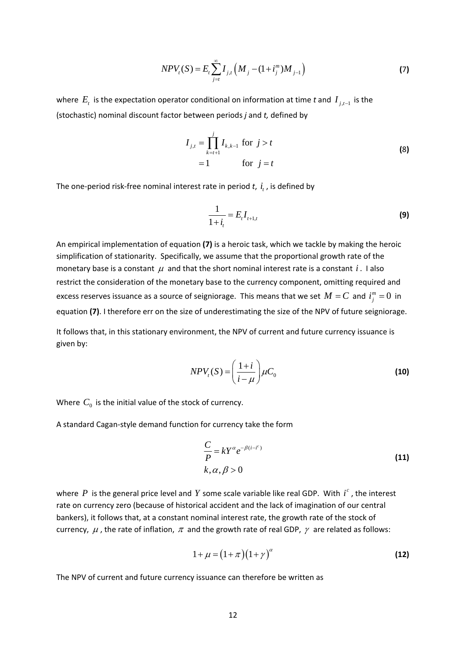$$
NPV_t(S) = E_t \sum_{j=t}^{\infty} I_{j,t} \left( M_j - (1 + i_j^m) M_{j-1} \right)
$$
 (7)

where  $E_t$  is the expectation operator conditional on information at time *t* and  $I_{i,t-1}$  is the (stochastic) nominal discount factor between periods *j* and *t,* defined by

$$
I_{j,t} = \prod_{k=t+1}^{j} I_{k,k-1} \text{ for } j > t
$$
  
= 1 \tfor  $j = t$  (8)

The one‐period risk‐free nominal interest rate in period *t*, *<sup>t</sup> i* , is defined by

$$
\frac{1}{1+i_{t}} = E_{t}I_{t+1,t}
$$
\n(9)

An empirical implementation of equation **(7)** is a heroic task, which we tackle by making the heroic simplification of stationarity. Specifically, we assume that the proportional growth rate of the monetary base is a constant  $\mu$  and that the short nominal interest rate is a constant  $i$ . I also restrict the consideration of the monetary base to the currency component, omitting required and excess reserves issuance as a source of seigniorage. This means that we set  $M = C$  and  $i_j^m = 0$  in equation **(7)**. I therefore err on the size of underestimating the size of the NPV of future seigniorage.

It follows that, in this stationary environment, the NPV of current and future currency issuance is given by:

$$
NPVt(S) = \left(\frac{1+i}{i-\mu}\right)\mu C_0
$$
\n(10)

Where  $C_0$  is the initial value of the stock of currency.

A standard Cagan‐style demand function for currency take the form

$$
\frac{C}{P} = kY^{\alpha}e^{-\beta(i-i^{c})}
$$
\n
$$
k, \alpha, \beta > 0
$$
\n(11)

where  $P$  is the general price level and  $Y$  some scale variable like real GDP. With  $i^c$  , the interest rate on currency zero (because of historical accident and the lack of imagination of our central bankers), it follows that, at a constant nominal interest rate, the growth rate of the stock of currency,  $\mu$ , the rate of inflation,  $\pi$  and the growth rate of real GDP,  $\gamma$  are related as follows:

$$
1 + \mu = (1 + \pi)(1 + \gamma)^{\alpha}
$$
\n<sup>(12)</sup>

The NPV of current and future currency issuance can therefore be written as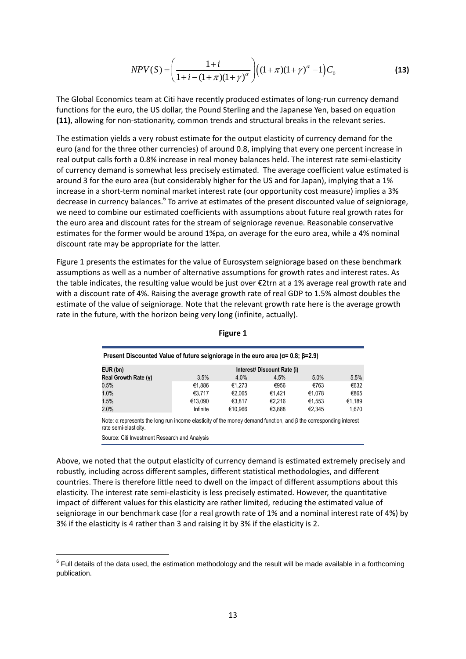$$
NPV(S) = \left(\frac{1+i}{1+i - (1+\pi)(1+\gamma)^{\alpha}}\right) \left((1+\pi)(1+\gamma)^{\alpha} - 1\right) C_0
$$
\n(13)

The Global Economics team at Citi have recently produced estimates of long-run currency demand functions for the euro, the US dollar, the Pound Sterling and the Japanese Yen, based on equation **(11)**, allowing for non‐stationarity, common trends and structural breaks in the relevant series.

The estimation yields a very robust estimate for the output elasticity of currency demand for the euro (and for the three other currencies) of around 0.8, implying that every one percent increase in real output calls forth a 0.8% increase in real money balances held. The interest rate semi‐elasticity of currency demand is somewhat less precisely estimated. The average coefficient value estimated is around 3 for the euro area (but considerably higher for the US and for Japan), implying that a 1% increase in a short-term nominal market interest rate (our opportunity cost measure) implies a 3% decrease in currency balances.<sup>6</sup> To arrive at estimates of the present discounted value of seigniorage, we need to combine our estimated coefficients with assumptions about future real growth rates for the euro area and discount rates for the stream of seigniorage revenue. Reasonable conservative estimates for the former would be around 1%pa, on average for the euro area, while a 4% nominal discount rate may be appropriate for the latter.

Figure 1 presents the estimates for the value of Eurosystem seigniorage based on these benchmark assumptions as well as a number of alternative assumptions for growth rates and interest rates. As the table indicates, the resulting value would be just over €2trn at a 1% average real growth rate and with a discount rate of 4%. Raising the average growth rate of real GDP to 1.5% almost doubles the estimate of the value of seigniorage. Note that the relevant growth rate here is the average growth rate in the future, with the horizon being very long (infinite, actually).

| EUR (bn)<br>Real Growth Rate (y) | 3.5%     | 4.0%    | Interest/Discount Rate (i)<br>4.5% | 5.0%   | 5.5%   |
|----------------------------------|----------|---------|------------------------------------|--------|--------|
|                                  |          |         |                                    |        |        |
| 0.5%                             | €1.886   | €1.273  | €956                               | €763   | €632   |
| 1.0%                             | €3.717   | €2.065  | €1.421                             | €1.078 | €865   |
| 1.5%                             | €13.090  | €3.817  | €2.216                             | €1.553 | €1,189 |
| 2.0%                             | Infinite | €10.966 | €3.888                             | €2.345 | 1,670  |

**Figure 1**

Above, we noted that the output elasticity of currency demand is estimated extremely precisely and robustly, including across different samples, different statistical methodologies, and different countries. There is therefore little need to dwell on the impact of different assumptions about this elasticity. The interest rate semi‐elasticity is less precisely estimated. However, the quantitative impact of different values for this elasticity are rather limited, reducing the estimated value of seigniorage in our benchmark case (for a real growth rate of 1% and a nominal interest rate of 4%) by 3% if the elasticity is 4 rather than 3 and raising it by 3% if the elasticity is 2.

 $6$  Full details of the data used, the estimation methodology and the result will be made available in a forthcoming publication.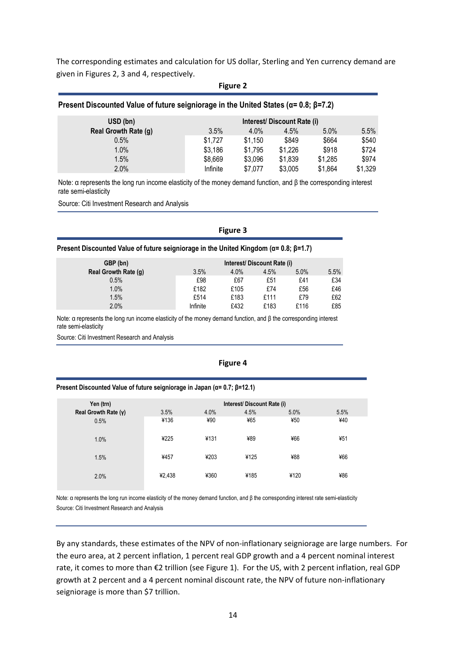The corresponding estimates and calculation for US dollar, Sterling and Yen currency demand are given in Figures 2, 3 and 4, respectively.

#### **Figure 2**

#### **Present Discounted Value of future seigniorage in the United States (α= 0.8; β=7.2)**

| USD(hn)              | Interest/Discount Rate (i) |         |         |         |         |
|----------------------|----------------------------|---------|---------|---------|---------|
| Real Growth Rate (g) | 3.5%                       | 4.0%    | 4.5%    | $5.0\%$ | 5.5%    |
| 0.5%                 | \$1,727                    | \$1,150 | \$849   | \$664   | \$540   |
| $1.0\%$              | \$3,186                    | \$1.795 | \$1,226 | \$918   | \$724   |
| $1.5\%$              | \$8.669                    | \$3,096 | \$1.839 | \$1.285 | \$974   |
| 2.0%                 | Infinite                   | \$7.077 | \$3,005 | \$1.864 | \$1,329 |

Note:  $\alpha$  represents the long run income elasticity of the money demand function, and β the corresponding interest rate semi-elasticity

Source: Citi Investment Research and Analysis

#### **Figure 3**

#### **Present Discounted Value of future seigniorage in the United Kingdom (α= 0.8; β=1.7)**

| GBP (bn)             | Interest/Discount Rate (i) |      |      |      |      |
|----------------------|----------------------------|------|------|------|------|
| Real Growth Rate (q) | 3.5%                       | 4.0% | 4.5% | 5.0% | 5.5% |
| 0.5%                 | £98                        | £67  | £51  | £41  | £34  |
| 1.0%                 | £182                       | £105 | £74  | £56  | £46  |
| 1.5%                 | £514                       | £183 | £111 | £79  | £62  |
| 2.0%                 | Infinite                   | £432 | £183 | £116 | £85  |

Note: α represents the long run income elasticity of the money demand function, and β the corresponding interest rate semi-elasticity

Source: Citi Investment Research and Analysis

#### **Figure 4**

#### **Present Discounted Value of future seigniorage in Japan (α= 0.7; β=12.1)**

| Yen (trn)            | Interest/ Discount Rate (i) |      |      |      |      |  |
|----------------------|-----------------------------|------|------|------|------|--|
| Real Growth Rate (y) | 3.5%                        | 4.0% | 4.5% | 5.0% | 5.5% |  |
| 0.5%                 | ¥136                        | ¥90  | ¥65  | ¥50  | ¥40  |  |
| 1.0%                 | ¥225                        | ¥131 | ¥89  | ¥66  | ¥51  |  |
| 1.5%                 | ¥457                        | ¥203 | ¥125 | ¥88  | ¥66  |  |
| 2.0%                 | ¥2,438                      | ¥360 | ¥185 | ¥120 | ¥86  |  |

Note: α represents the long run income elasticity of the money demand function, and β the corresponding interest rate semi-elasticity Source: Citi Investment Research and Analysis

By any standards, these estimates of the NPV of non‐inflationary seigniorage are large numbers. For the euro area, at 2 percent inflation, 1 percent real GDP growth and a 4 percent nominal interest rate, it comes to more than €2 trillion (see Figure 1). For the US, with 2 percent inflation, real GDP growth at 2 percent and a 4 percent nominal discount rate, the NPV of future non‐inflationary seigniorage is more than \$7 trillion.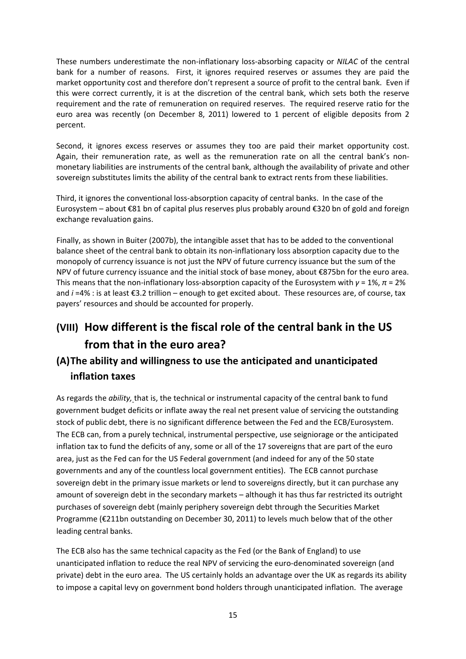These numbers underestimate the non‐inflationary loss‐absorbing capacity or *NILAC* of the central bank for a number of reasons. First, it ignores required reserves or assumes they are paid the market opportunity cost and therefore don't represent a source of profit to the central bank. Even if this were correct currently, it is at the discretion of the central bank, which sets both the reserve requirement and the rate of remuneration on required reserves. The required reserve ratio for the euro area was recently (on December 8, 2011) lowered to 1 percent of eligible deposits from 2 percent.

Second, it ignores excess reserves or assumes they too are paid their market opportunity cost. Again, their remuneration rate, as well as the remuneration rate on all the central bank's nonmonetary liabilities are instruments of the central bank, although the availability of private and other sovereign substitutes limits the ability of the central bank to extract rents from these liabilities.

Third, it ignores the conventional loss-absorption capacity of central banks. In the case of the Eurosystem – about €81 bn of capital plus reserves plus probably around €320 bn of gold and foreign exchange revaluation gains.

Finally, as shown in Buiter (2007b), the intangible asset that has to be added to the conventional balance sheet of the central bank to obtain its non-inflationary loss absorption capacity due to the monopoly of currency issuance is not just the NPV of future currency issuance but the sum of the NPV of future currency issuance and the initial stock of base money, about €875bn for the euro area. This means that the non‐inflationary loss‐absorption capacity of the Eurosystem with *γ* = 1%, *π* = 2% and *i* =4% : is at least €3.2 trillion – enough to get excited about. These resources are, of course, tax payers' resources and should be accounted for properly.

# **(VIII) How different is the fiscal role of the central bank in the US from that in the euro area?**

### **(A)The ability and willingness to use the anticipated and unanticipated inflation taxes**

As regards the *ability,* that is, the technical or instrumental capacity of the central bank to fund government budget deficits or inflate away the real net present value of servicing the outstanding stock of public debt, there is no significant difference between the Fed and the ECB/Eurosystem. The ECB can, from a purely technical, instrumental perspective, use seigniorage or the anticipated inflation tax to fund the deficits of any, some or all of the 17 sovereigns that are part of the euro area, just as the Fed can for the US Federal government (and indeed for any of the 50 state governments and any of the countless local government entities). The ECB cannot purchase sovereign debt in the primary issue markets or lend to sovereigns directly, but it can purchase any amount of sovereign debt in the secondary markets – although it has thus far restricted its outright purchases of sovereign debt (mainly periphery sovereign debt through the Securities Market Programme (€211bn outstanding on December 30, 2011) to levels much below that of the other leading central banks.

The ECB also has the same technical capacity as the Fed (or the Bank of England) to use unanticipated inflation to reduce the real NPV of servicing the euro-denominated sovereign (and private) debt in the euro area. The US certainly holds an advantage over the UK as regards its ability to impose a capital levy on government bond holders through unanticipated inflation. The average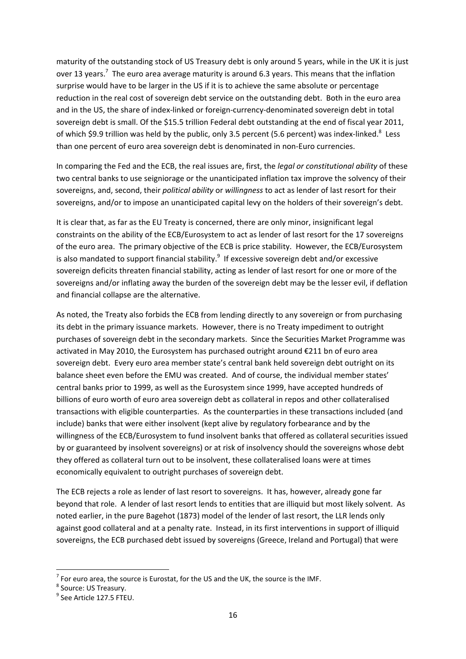maturity of the outstanding stock of US Treasury debt is only around 5 years, while in the UK it is just over 13 years.<sup>7</sup> The euro area average maturity is around 6.3 years. This means that the inflation surprise would have to be larger in the US if it is to achieve the same absolute or percentage reduction in the real cost of sovereign debt service on the outstanding debt. Both in the euro area and in the US, the share of index-linked or foreign-currency-denominated sovereign debt in total sovereign debt is small. Of the \$15.5 trillion Federal debt outstanding at the end of fiscal year 2011, of which \$9.9 trillion was held by the public, only 3.5 percent (5.6 percent) was index-linked.<sup>8</sup> Less than one percent of euro area sovereign debt is denominated in non‐Euro currencies.

In comparing the Fed and the ECB, the real issues are, first, the *legal or constitutional ability* of these two central banks to use seigniorage or the unanticipated inflation tax improve the solvency of their sovereigns, and, second, their *political ability* or *willingness* to act as lender of last resort for their sovereigns, and/or to impose an unanticipated capital levy on the holders of their sovereign's debt.

It is clear that, as far as the EU Treaty is concerned, there are only minor, insignificant legal constraints on the ability of the ECB/Eurosystem to act as lender of last resort for the 17 sovereigns of the euro area. The primary objective of the ECB is price stability. However, the ECB/Eurosystem is also mandated to support financial stability.<sup>9</sup> If excessive sovereign debt and/or excessive sovereign deficits threaten financial stability, acting as lender of last resort for one or more of the sovereigns and/or inflating away the burden of the sovereign debt may be the lesser evil, if deflation and financial collapse are the alternative.

As noted, the Treaty also forbids the ECB from lending directly to any sovereign or from purchasing its debt in the primary issuance markets. However, there is no Treaty impediment to outright purchases of sovereign debt in the secondary markets. Since the Securities Market Programme was activated in May 2010, the Eurosystem has purchased outright around €211 bn of euro area sovereign debt. Every euro area member state's central bank held sovereign debt outright on its balance sheet even before the EMU was created. And of course, the individual member states' central banks prior to 1999, as well as the Eurosystem since 1999, have accepted hundreds of billions of euro worth of euro area sovereign debt as collateral in repos and other collateralised transactions with eligible counterparties. As the counterparties in these transactions included (and include) banks that were either insolvent (kept alive by regulatory forbearance and by the willingness of the ECB/Eurosystem to fund insolvent banks that offered as collateral securities issued by or guaranteed by insolvent sovereigns) or at risk of insolvency should the sovereigns whose debt they offered as collateral turn out to be insolvent, these collateralised loans were at times economically equivalent to outright purchases of sovereign debt.

The ECB rejects a role as lender of last resort to sovereigns. It has, however, already gone far beyond that role. A lender of last resort lends to entities that are illiquid but most likely solvent. As noted earlier, in the pure Bagehot (1873) model of the lender of last resort, the LLR lends only against good collateral and at a penalty rate. Instead, in its first interventions in support of illiquid sovereigns, the ECB purchased debt issued by sovereigns (Greece, Ireland and Portugal) that were

<sup>&</sup>lt;sup>7</sup> For euro area, the source is Eurostat, for the US and the UK, the source is the IMF. <sup>8</sup> Source: US Treasury. 9 See Article 127.5 FTEU.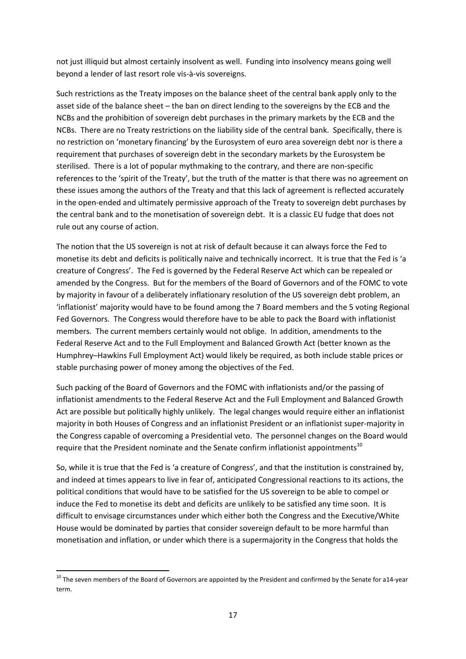not just illiquid but almost certainly insolvent as well. Funding into insolvency means going well beyond a lender of last resort role vis‐à‐vis sovereigns.

Such restrictions as the Treaty imposes on the balance sheet of the central bank apply only to the asset side of the balance sheet – the ban on direct lending to the sovereigns by the ECB and the NCBs and the prohibition of sovereign debt purchases in the primary markets by the ECB and the NCBs. There are no Treaty restrictions on the liability side of the central bank. Specifically, there is no restriction on 'monetary financing' by the Eurosystem of euro area sovereign debt nor is there a requirement that purchases of sovereign debt in the secondary markets by the Eurosystem be sterilised. There is a lot of popular mythmaking to the contrary, and there are non-specific references to the 'spirit of the Treaty', but the truth of the matter is that there was no agreement on these issues among the authors of the Treaty and that this lack of agreement is reflected accurately in the open-ended and ultimately permissive approach of the Treaty to sovereign debt purchases by the central bank and to the monetisation of sovereign debt. It is a classic EU fudge that does not rule out any course of action.

The notion that the US sovereign is not at risk of default because it can always force the Fed to monetise its debt and deficits is politically naive and technically incorrect. It is true that the Fed is 'a creature of Congress'. The Fed is governed by the Federal Reserve Act which can be repealed or amended by the Congress. But for the members of the Board of Governors and of the FOMC to vote by majority in favour of a deliberately inflationary resolution of the US sovereign debt problem, an 'inflationist' majority would have to be found among the 7 Board members and the 5 voting Regional Fed Governors. The Congress would therefore have to be able to pack the Board with inflationist members. The current members certainly would not oblige. In addition, amendments to the Federal Reserve Act and to the Full Employment and Balanced Growth Act (better known as the Humphrey–Hawkins Full Employment Act) would likely be required, as both include stable prices or stable purchasing power of money among the objectives of the Fed.

Such packing of the Board of Governors and the FOMC with inflationists and/or the passing of inflationist amendments to the Federal Reserve Act and the Full Employment and Balanced Growth Act are possible but politically highly unlikely. The legal changes would require either an inflationist majority in both Houses of Congress and an inflationist President or an inflationist super‐majority in the Congress capable of overcoming a Presidential veto. The personnel changes on the Board would require that the President nominate and the Senate confirm inflationist appointments<sup>10</sup>

So, while it is true that the Fed is 'a creature of Congress', and that the institution is constrained by, and indeed at times appears to live in fear of, anticipated Congressional reactions to its actions, the political conditions that would have to be satisfied for the US sovereign to be able to compel or induce the Fed to monetise its debt and deficits are unlikely to be satisfied any time soon. It is difficult to envisage circumstances under which either both the Congress and the Executive/White House would be dominated by parties that consider sovereign default to be more harmful than monetisation and inflation, or under which there is a supermajority in the Congress that holds the

 $10$  The seven members of the Board of Governors are appointed by the President and confirmed by the Senate for a14-year term.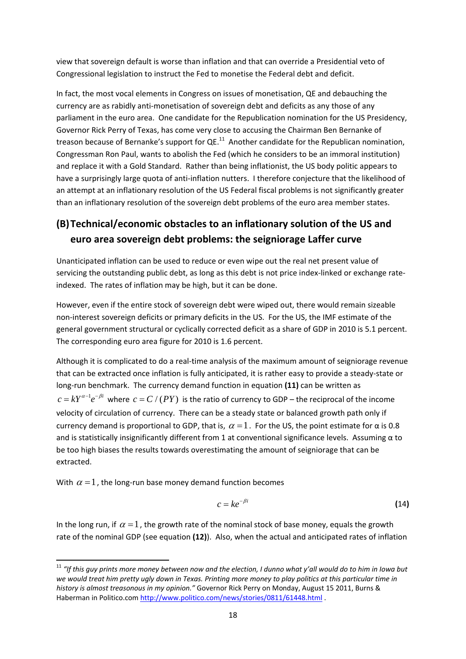view that sovereign default is worse than inflation and that can override a Presidential veto of Congressional legislation to instruct the Fed to monetise the Federal debt and deficit.

In fact, the most vocal elements in Congress on issues of monetisation, QE and debauching the currency are as rabidly anti‐monetisation of sovereign debt and deficits as any those of any parliament in the euro area. One candidate for the Republication nomination for the US Presidency, Governor Rick Perry of Texas, has come very close to accusing the Chairman Ben Bernanke of treason because of Bernanke's support for  $QE<sup>11</sup>$  Another candidate for the Republican nomination, Congressman Ron Paul, wants to abolish the Fed (which he considers to be an immoral institution) and replace it with a Gold Standard. Rather than being inflationist, the US body politic appears to have a surprisingly large quota of anti-inflation nutters. I therefore conjecture that the likelihood of an attempt at an inflationary resolution of the US Federal fiscal problems is not significantly greater than an inflationary resolution of the sovereign debt problems of the euro area member states.

### **(B)Technical/economic obstacles to an inflationary solution of the US and euro area sovereign debt problems: the seigniorage Laffer curve**

Unanticipated inflation can be used to reduce or even wipe out the real net present value of servicing the outstanding public debt, as long as this debt is not price index-linked or exchange rateindexed. The rates of inflation may be high, but it can be done.

However, even if the entire stock of sovereign debt were wiped out, there would remain sizeable non‐interest sovereign deficits or primary deficits in the US. For the US, the IMF estimate of the general government structural or cyclically corrected deficit as a share of GDP in 2010 is 5.1 percent. The corresponding euro area figure for 2010 is 1.6 percent.

Although it is complicated to do a real-time analysis of the maximum amount of seigniorage revenue that can be extracted once inflation is fully anticipated, it is rather easy to provide a steady‐state or long‐run benchmark. The currency demand function in equation **(11)** can be written as  $c = kY^{\alpha-1}e^{-\beta i}$  where  $c = C/(PY)$  is the ratio of currency to GDP – the reciprocal of the income velocity of circulation of currency. There can be a steady state or balanced growth path only if currency demand is proportional to GDP, that is,  $\alpha = 1$ . For the US, the point estimate for  $\alpha$  is 0.8 and is statistically insignificantly different from 1 at conventional significance levels. Assuming  $\alpha$  to be too high biases the results towards overestimating the amount of seigniorage that can be extracted.

With  $\alpha = 1$ , the long-run base money demand function becomes

$$
c = k e^{-\beta i} \tag{14}
$$

In the long run, if  $\alpha = 1$ , the growth rate of the nominal stock of base money, equals the growth rate of the nominal GDP (see equation **(12)**). Also, when the actual and anticipated rates of inflation

<sup>&</sup>lt;sup>11</sup> "If this auy prints more money between now and the election, I dunno what y'all would do to him in Iowa but we would treat him pretty ugly down in Texas. Printing more money to play politics at this particular time in *history is almost treasonous in my opinion."* Governor Rick Perry on Monday, August 15 2011, Burns & Haberman in Politico.com http://www.politico.com/news/stories/0811/61448.html .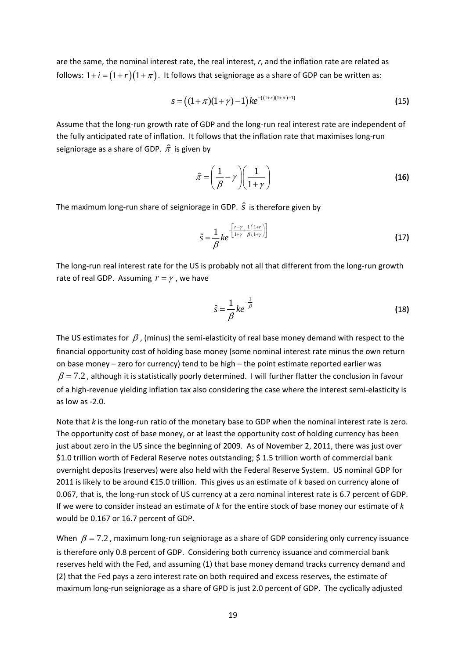are the same, the nominal interest rate, the real interest, *r*, and the inflation rate are related as follows:  $1+i = (1+r)(1+\pi)$ . It follows that seigniorage as a share of GDP can be written as:

$$
s = ((1 + \pi)(1 + \gamma) - 1)ke^{-(1+r)(1+\pi)-1}
$$
\n(15)

Assume that the long-run growth rate of GDP and the long-run real interest rate are independent of the fully anticipated rate of inflation. It follows that the inflation rate that maximises long-run seigniorage as a share of GDP.  $\hat{\pi}$  is given by

$$
\hat{\pi} = \left(\frac{1}{\beta} - \gamma\right) \left(\frac{1}{1+\gamma}\right) \tag{16}
$$

The maximum long-run share of seigniorage in GDP.  $\hat{s}$  is therefore given by

$$
\hat{s} = \frac{1}{\beta} ke^{-\left[\frac{r-\gamma}{1+\gamma} + \frac{1}{\beta}\left(\frac{1+r}{1+\gamma}\right)\right]}
$$
(17)

The long-run real interest rate for the US is probably not all that different from the long-run growth rate of real GDP. Assuming  $r = \gamma$ , we have

$$
\hat{s} = \frac{1}{\beta} k e^{-\frac{1}{\beta}}
$$
 (18)

The US estimates for  $\beta$ , (minus) the semi-elasticity of real base money demand with respect to the financial opportunity cost of holding base money (some nominal interest rate minus the own return on base money – zero for currency) tend to be high – the point estimate reported earlier was  $\beta$  = 7.2, although it is statistically poorly determined. I will further flatter the conclusion in favour of a high‐revenue yielding inflation tax also considering the case where the interest semi‐elasticity is as low as ‐2.0.

Note that *k* is the long‐run ratio of the monetary base to GDP when the nominal interest rate is zero. The opportunity cost of base money, or at least the opportunity cost of holding currency has been just about zero in the US since the beginning of 2009. As of November 2, 2011, there was just over \$1.0 trillion worth of Federal Reserve notes outstanding; \$ 1.5 trillion worth of commercial bank overnight deposits (reserves) were also held with the Federal Reserve System. US nominal GDP for 2011 is likely to be around €15.0 trillion. This gives us an estimate of *k* based on currency alone of 0.067, that is, the long-run stock of US currency at a zero nominal interest rate is 6.7 percent of GDP. If we were to consider instead an estimate of *k* for the entire stock of base money our estimate of *k* would be 0.167 or 16.7 percent of GDP.

When  $\beta = 7.2$ , maximum long-run seigniorage as a share of GDP considering only currency issuance is therefore only 0.8 percent of GDP. Considering both currency issuance and commercial bank reserves held with the Fed, and assuming (1) that base money demand tracks currency demand and (2) that the Fed pays a zero interest rate on both required and excess reserves, the estimate of maximum long‐run seigniorage as a share of GPD is just 2.0 percent of GDP. The cyclically adjusted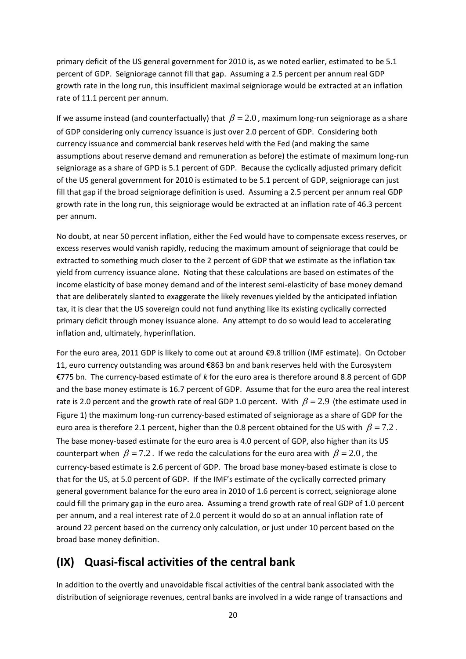primary deficit of the US general government for 2010 is, as we noted earlier, estimated to be 5.1 percent of GDP. Seigniorage cannot fill that gap. Assuming a 2.5 percent per annum real GDP growth rate in the long run, this insufficient maximal seigniorage would be extracted at an inflation rate of 11.1 percent per annum.

If we assume instead (and counterfactually) that  $\beta = 2.0$ , maximum long-run seigniorage as a share of GDP considering only currency issuance is just over 2.0 percent of GDP. Considering both currency issuance and commercial bank reserves held with the Fed (and making the same assumptions about reserve demand and remuneration as before) the estimate of maximum long-run seigniorage as a share of GPD is 5.1 percent of GDP. Because the cyclically adjusted primary deficit of the US general government for 2010 is estimated to be 5.1 percent of GDP, seigniorage can just fill that gap if the broad seigniorage definition is used. Assuming a 2.5 percent per annum real GDP growth rate in the long run, this seigniorage would be extracted at an inflation rate of 46.3 percent per annum.

No doubt, at near 50 percent inflation, either the Fed would have to compensate excess reserves, or excess reserves would vanish rapidly, reducing the maximum amount of seigniorage that could be extracted to something much closer to the 2 percent of GDP that we estimate as the inflation tax yield from currency issuance alone. Noting that these calculations are based on estimates of the income elasticity of base money demand and of the interest semi‐elasticity of base money demand that are deliberately slanted to exaggerate the likely revenues yielded by the anticipated inflation tax, it is clear that the US sovereign could not fund anything like its existing cyclically corrected primary deficit through money issuance alone. Any attempt to do so would lead to accelerating inflation and, ultimately, hyperinflation.

For the euro area, 2011 GDP is likely to come out at around €9.8 trillion (IMF estimate). On October 11, euro currency outstanding was around €863 bn and bank reserves held with the Eurosystem €775 bn. The currency‐based estimate of *k* for the euro area is therefore around 8.8 percent of GDP and the base money estimate is 16.7 percent of GDP. Assume that for the euro area the real interest rate is 2.0 percent and the growth rate of real GDP 1.0 percent. With  $\beta = 2.9$  (the estimate used in Figure 1) the maximum long-run currency-based estimated of seigniorage as a share of GDP for the euro area is therefore 2.1 percent, higher than the 0.8 percent obtained for the US with  $\beta = 7.2$ . The base money-based estimate for the euro area is 4.0 percent of GDP, also higher than its US counterpart when  $\beta = 7.2$ . If we redo the calculations for the euro area with  $\beta = 2.0$ , the currency‐based estimate is 2.6 percent of GDP. The broad base money‐based estimate is close to that for the US, at 5.0 percent of GDP. If the IMF's estimate of the cyclically corrected primary general government balance for the euro area in 2010 of 1.6 percent is correct, seigniorage alone could fill the primary gap in the euro area. Assuming a trend growth rate of real GDP of 1.0 percent per annum, and a real interest rate of 2.0 percent it would do so at an annual inflation rate of around 22 percent based on the currency only calculation, or just under 10 percent based on the broad base money definition.

### **(IX) Quasi‐fiscal activities of the central bank**

In addition to the overtly and unavoidable fiscal activities of the central bank associated with the distribution of seigniorage revenues, central banks are involved in a wide range of transactions and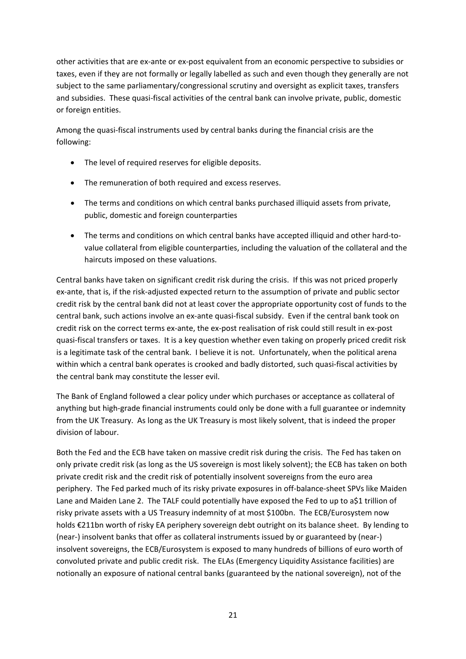other activities that are ex‐ante or ex‐post equivalent from an economic perspective to subsidies or taxes, even if they are not formally or legally labelled as such and even though they generally are not subject to the same parliamentary/congressional scrutiny and oversight as explicit taxes, transfers and subsidies. These quasi-fiscal activities of the central bank can involve private, public, domestic or foreign entities.

Among the quasi‐fiscal instruments used by central banks during the financial crisis are the following:

- The level of required reserves for eligible deposits.
- The remuneration of both required and excess reserves.
- The terms and conditions on which central banks purchased illiquid assets from private, public, domestic and foreign counterparties
- The terms and conditions on which central banks have accepted illiquid and other hard-tovalue collateral from eligible counterparties, including the valuation of the collateral and the haircuts imposed on these valuations.

Central banks have taken on significant credit risk during the crisis. If this was not priced properly ex-ante, that is, if the risk-adjusted expected return to the assumption of private and public sector credit risk by the central bank did not at least cover the appropriate opportunity cost of funds to the central bank, such actions involve an ex‐ante quasi‐fiscal subsidy. Even if the central bank took on credit risk on the correct terms ex‐ante, the ex‐post realisation of risk could still result in ex‐post quasi‐fiscal transfers or taxes. It is a key question whether even taking on properly priced credit risk is a legitimate task of the central bank. I believe it is not. Unfortunately, when the political arena within which a central bank operates is crooked and badly distorted, such quasi-fiscal activities by the central bank may constitute the lesser evil.

The Bank of England followed a clear policy under which purchases or acceptance as collateral of anything but high-grade financial instruments could only be done with a full guarantee or indemnity from the UK Treasury. As long as the UK Treasury is most likely solvent, that is indeed the proper division of labour.

Both the Fed and the ECB have taken on massive credit risk during the crisis. The Fed has taken on only private credit risk (as long as the US sovereign is most likely solvent); the ECB has taken on both private credit risk and the credit risk of potentially insolvent sovereigns from the euro area periphery. The Fed parked much of its risky private exposures in off-balance-sheet SPVs like Maiden Lane and Maiden Lane 2. The TALF could potentially have exposed the Fed to up to a\$1 trillion of risky private assets with a US Treasury indemnity of at most \$100bn. The ECB/Eurosystem now holds €211bn worth of risky EA periphery sovereign debt outright on its balance sheet. By lending to (near‐) insolvent banks that offer as collateral instruments issued by or guaranteed by (near‐) insolvent sovereigns, the ECB/Eurosystem is exposed to many hundreds of billions of euro worth of convoluted private and public credit risk. The ELAs (Emergency Liquidity Assistance facilities) are notionally an exposure of national central banks (guaranteed by the national sovereign), not of the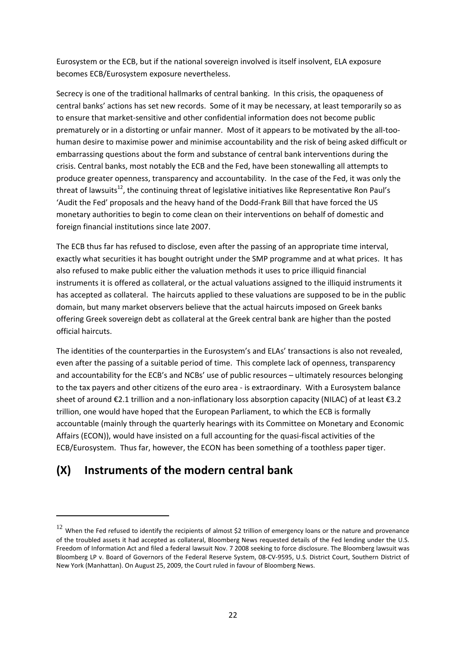Eurosystem or the ECB, but if the national sovereign involved is itself insolvent, ELA exposure becomes ECB/Eurosystem exposure nevertheless.

Secrecy is one of the traditional hallmarks of central banking. In this crisis, the opaqueness of central banks' actions has set new records. Some of it may be necessary, at least temporarily so as to ensure that market‐sensitive and other confidential information does not become public prematurely or in a distorting or unfair manner. Most of it appears to be motivated by the all-toohuman desire to maximise power and minimise accountability and the risk of being asked difficult or embarrassing questions about the form and substance of central bank interventions during the crisis. Central banks, most notably the ECB and the Fed, have been stonewalling all attempts to produce greater openness, transparency and accountability. In the case of the Fed, it was only the threat of lawsuits<sup>12</sup>, the continuing threat of legislative initiatives like Representative Ron Paul's 'Audit the Fed' proposals and the heavy hand of the Dodd‐Frank Bill that have forced the US monetary authorities to begin to come clean on their interventions on behalf of domestic and foreign financial institutions since late 2007.

The ECB thus far has refused to disclose, even after the passing of an appropriate time interval, exactly what securities it has bought outright under the SMP programme and at what prices. It has also refused to make public either the valuation methods it uses to price illiquid financial instruments it is offered as collateral, or the actual valuations assigned to the illiquid instruments it has accepted as collateral. The haircuts applied to these valuations are supposed to be in the public domain, but many market observers believe that the actual haircuts imposed on Greek banks offering Greek sovereign debt as collateral at the Greek central bank are higher than the posted official haircuts.

The identities of the counterparties in the Eurosystem's and ELAs' transactions is also not revealed, even after the passing of a suitable period of time. This complete lack of openness, transparency and accountability for the ECB's and NCBs' use of public resources – ultimately resources belonging to the tax payers and other citizens of the euro area ‐ is extraordinary. With a Eurosystem balance sheet of around €2.1 trillion and a non‐inflationary loss absorption capacity (NILAC) of at least €3.2 trillion, one would have hoped that the European Parliament, to which the ECB is formally accountable (mainly through the quarterly hearings with its Committee on Monetary and Economic Affairs (ECON)), would have insisted on a full accounting for the quasi‐fiscal activities of the ECB/Eurosystem. Thus far, however, the ECON has been something of a toothless paper tiger.

### **(X) Instruments of the modern central bank**

 $12$  When the Fed refused to identify the recipients of almost \$2 trillion of emergency loans or the nature and provenance of the troubled assets it had accepted as collateral, Bloomberg News requested details of the Fed lending under the U.S. Freedom of Information Act and filed a federal lawsuit Nov. 7 2008 seeking to force disclosure. The Bloomberg lawsuit was Bloomberg LP v. Board of Governors of the Federal Reserve System, 08‐CV‐9595, U.S. District Court, Southern District of New York (Manhattan). On August 25, 2009, the Court ruled in favour of Bloomberg News.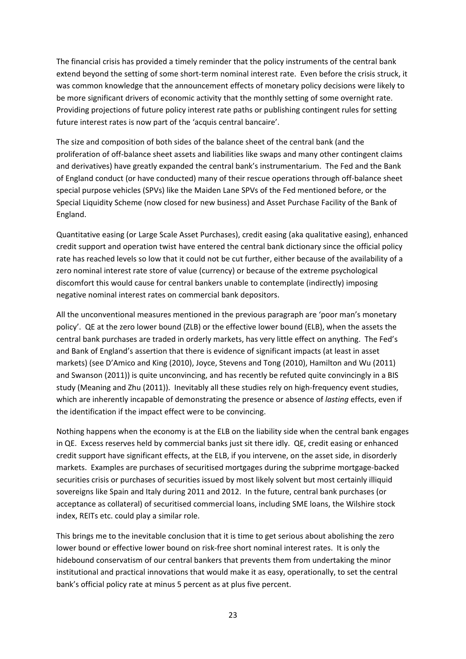The financial crisis has provided a timely reminder that the policy instruments of the central bank extend beyond the setting of some short-term nominal interest rate. Even before the crisis struck, it was common knowledge that the announcement effects of monetary policy decisions were likely to be more significant drivers of economic activity that the monthly setting of some overnight rate. Providing projections of future policy interest rate paths or publishing contingent rules for setting future interest rates is now part of the 'acquis central bancaire'.

The size and composition of both sides of the balance sheet of the central bank (and the proliferation of off‐balance sheet assets and liabilities like swaps and many other contingent claims and derivatives) have greatly expanded the central bank's instrumentarium. The Fed and the Bank of England conduct (or have conducted) many of their rescue operations through off‐balance sheet special purpose vehicles (SPVs) like the Maiden Lane SPVs of the Fed mentioned before, or the Special Liquidity Scheme (now closed for new business) and Asset Purchase Facility of the Bank of England.

Quantitative easing (or Large Scale Asset Purchases), credit easing (aka qualitative easing), enhanced credit support and operation twist have entered the central bank dictionary since the official policy rate has reached levels so low that it could not be cut further, either because of the availability of a zero nominal interest rate store of value (currency) or because of the extreme psychological discomfort this would cause for central bankers unable to contemplate (indirectly) imposing negative nominal interest rates on commercial bank depositors.

All the unconventional measures mentioned in the previous paragraph are 'poor man's monetary policy'. QE at the zero lower bound (ZLB) or the effective lower bound (ELB), when the assets the central bank purchases are traded in orderly markets, has very little effect on anything. The Fed's and Bank of England's assertion that there is evidence of significant impacts (at least in asset markets) (see D'Amico and King (2010), Joyce, Stevens and Tong (2010), Hamilton and Wu (2011) and Swanson (2011)) is quite unconvincing, and has recently be refuted quite convincingly in a BIS study (Meaning and Zhu (2011)). Inevitably all these studies rely on high‐frequency event studies, which are inherently incapable of demonstrating the presence or absence of *lasting* effects, even if the identification if the impact effect were to be convincing.

Nothing happens when the economy is at the ELB on the liability side when the central bank engages in QE. Excess reserves held by commercial banks just sit there idly. QE, credit easing or enhanced credit support have significant effects, at the ELB, if you intervene, on the asset side, in disorderly markets. Examples are purchases of securitised mortgages during the subprime mortgage‐backed securities crisis or purchases of securities issued by most likely solvent but most certainly illiquid sovereigns like Spain and Italy during 2011 and 2012. In the future, central bank purchases (or acceptance as collateral) of securitised commercial loans, including SME loans, the Wilshire stock index, REITs etc. could play a similar role.

This brings me to the inevitable conclusion that it is time to get serious about abolishing the zero lower bound or effective lower bound on risk-free short nominal interest rates. It is only the hidebound conservatism of our central bankers that prevents them from undertaking the minor institutional and practical innovations that would make it as easy, operationally, to set the central bank's official policy rate at minus 5 percent as at plus five percent.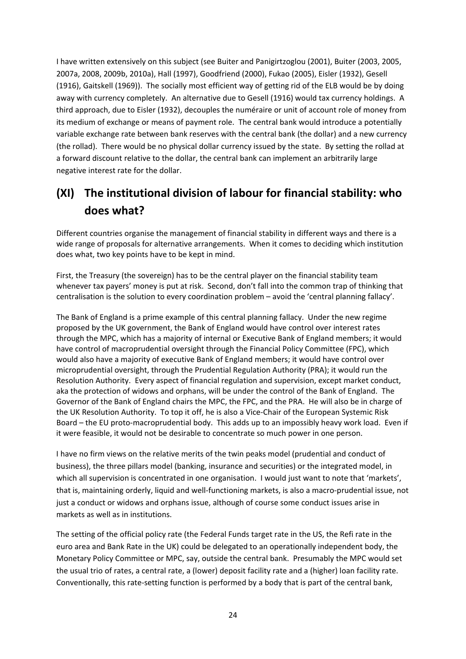I have written extensively on this subject (see Buiter and Panigirtzoglou (2001), Buiter (2003, 2005, 2007a, 2008, 2009b, 2010a), Hall (1997), Goodfriend (2000), Fukao (2005), Eisler (1932), Gesell (1916), Gaitskell (1969)). The socially most efficient way of getting rid of the ELB would be by doing away with currency completely. An alternative due to Gesell (1916) would tax currency holdings. A third approach, due to Eisler (1932), decouples the numéraire or unit of account role of money from its medium of exchange or means of payment role. The central bank would introduce a potentially variable exchange rate between bank reserves with the central bank (the dollar) and a new currency (the rollad). There would be no physical dollar currency issued by the state. By setting the rollad at a forward discount relative to the dollar, the central bank can implement an arbitrarily large negative interest rate for the dollar.

## **(XI) The institutional division of labour for financial stability: who does what?**

Different countries organise the management of financial stability in different ways and there is a wide range of proposals for alternative arrangements. When it comes to deciding which institution does what, two key points have to be kept in mind.

First, the Treasury (the sovereign) has to be the central player on the financial stability team whenever tax payers' money is put at risk. Second, don't fall into the common trap of thinking that centralisation is the solution to every coordination problem – avoid the 'central planning fallacy'.

The Bank of England is a prime example of this central planning fallacy. Under the new regime proposed by the UK government, the Bank of England would have control over interest rates through the MPC, which has a majority of internal or Executive Bank of England members; it would have control of macroprudential oversight through the Financial Policy Committee (FPC), which would also have a majority of executive Bank of England members; it would have control over microprudential oversight, through the Prudential Regulation Authority (PRA); it would run the Resolution Authority. Every aspect of financial regulation and supervision, except market conduct, aka the protection of widows and orphans, will be under the control of the Bank of England. The Governor of the Bank of England chairs the MPC, the FPC, and the PRA. He will also be in charge of the UK Resolution Authority. To top it off, he is also a Vice‐Chair of the European Systemic Risk Board – the EU proto‐macroprudential body. This adds up to an impossibly heavy work load. Even if it were feasible, it would not be desirable to concentrate so much power in one person.

I have no firm views on the relative merits of the twin peaks model (prudential and conduct of business), the three pillars model (banking, insurance and securities) or the integrated model, in which all supervision is concentrated in one organisation. I would just want to note that 'markets', that is, maintaining orderly, liquid and well‐functioning markets, is also a macro‐prudential issue, not just a conduct or widows and orphans issue, although of course some conduct issues arise in markets as well as in institutions.

The setting of the official policy rate (the Federal Funds target rate in the US, the Refi rate in the euro area and Bank Rate in the UK) could be delegated to an operationally independent body, the Monetary Policy Committee or MPC, say, outside the central bank. Presumably the MPC would set the usual trio of rates, a central rate, a (lower) deposit facility rate and a (higher) loan facility rate. Conventionally, this rate‐setting function is performed by a body that is part of the central bank,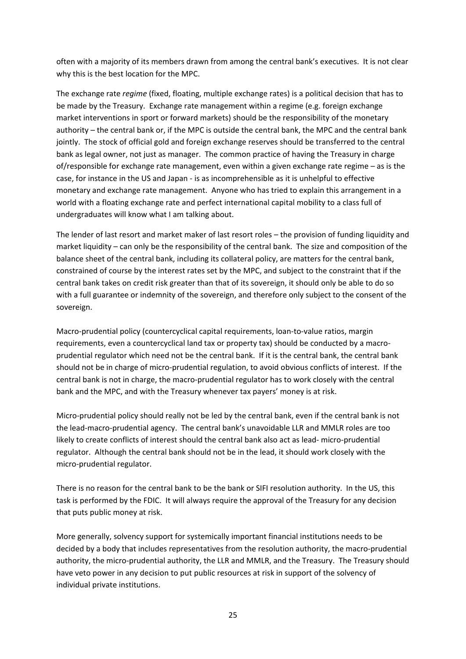often with a majority of its members drawn from among the central bank's executives. It is not clear why this is the best location for the MPC.

The exchange rate *regime* (fixed, floating, multiple exchange rates) is a political decision that has to be made by the Treasury. Exchange rate management within a regime (e.g. foreign exchange market interventions in sport or forward markets) should be the responsibility of the monetary authority – the central bank or, if the MPC is outside the central bank, the MPC and the central bank jointly. The stock of official gold and foreign exchange reserves should be transferred to the central bank as legal owner, not just as manager. The common practice of having the Treasury in charge of/responsible for exchange rate management, even within a given exchange rate regime – as is the case, for instance in the US and Japan ‐ is as incomprehensible as it is unhelpful to effective monetary and exchange rate management. Anyone who has tried to explain this arrangement in a world with a floating exchange rate and perfect international capital mobility to a class full of undergraduates will know what I am talking about.

The lender of last resort and market maker of last resort roles – the provision of funding liquidity and market liquidity – can only be the responsibility of the central bank. The size and composition of the balance sheet of the central bank, including its collateral policy, are matters for the central bank, constrained of course by the interest rates set by the MPC, and subject to the constraint that if the central bank takes on credit risk greater than that of its sovereign, it should only be able to do so with a full guarantee or indemnity of the sovereign, and therefore only subject to the consent of the sovereign.

Macro-prudential policy (countercyclical capital requirements, loan-to-value ratios, margin requirements, even a countercyclical land tax or property tax) should be conducted by a macro‐ prudential regulator which need not be the central bank. If it is the central bank, the central bank should not be in charge of micro‐prudential regulation, to avoid obvious conflicts of interest. If the central bank is not in charge, the macro‐prudential regulator has to work closely with the central bank and the MPC, and with the Treasury whenever tax payers' money is at risk.

Micro‐prudential policy should really not be led by the central bank, even if the central bank is not the lead‐macro‐prudential agency. The central bank's unavoidable LLR and MMLR roles are too likely to create conflicts of interest should the central bank also act as lead- micro-prudential regulator. Although the central bank should not be in the lead, it should work closely with the micro‐prudential regulator.

There is no reason for the central bank to be the bank or SIFI resolution authority. In the US, this task is performed by the FDIC. It will always require the approval of the Treasury for any decision that puts public money at risk.

More generally, solvency support for systemically important financial institutions needs to be decided by a body that includes representatives from the resolution authority, the macro‐prudential authority, the micro‐prudential authority, the LLR and MMLR, and the Treasury. The Treasury should have veto power in any decision to put public resources at risk in support of the solvency of individual private institutions.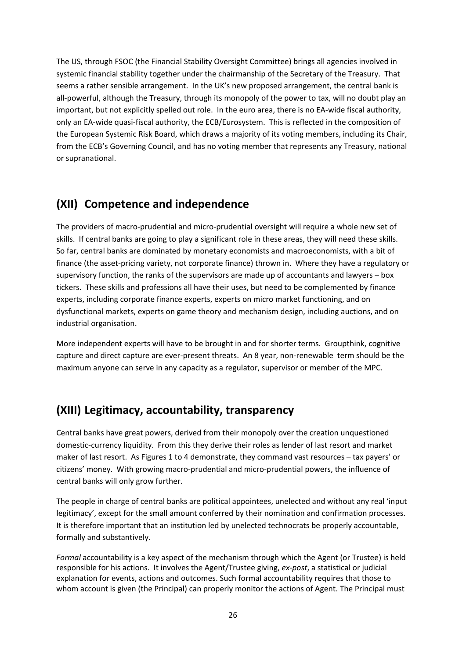The US, through FSOC (the Financial Stability Oversight Committee) brings all agencies involved in systemic financial stability together under the chairmanship of the Secretary of the Treasury. That seems a rather sensible arrangement. In the UK's new proposed arrangement, the central bank is all-powerful, although the Treasury, through its monopoly of the power to tax, will no doubt play an important, but not explicitly spelled out role. In the euro area, there is no EA-wide fiscal authority, only an EA‐wide quasi‐fiscal authority, the ECB/Eurosystem. This is reflected in the composition of the European Systemic Risk Board, which draws a majority of its voting members, including its Chair, from the ECB's Governing Council, and has no voting member that represents any Treasury, national or supranational.

### **(XII) Competence and independence**

The providers of macro‐prudential and micro‐prudential oversight will require a whole new set of skills. If central banks are going to play a significant role in these areas, they will need these skills. So far, central banks are dominated by monetary economists and macroeconomists, with a bit of finance (the asset-pricing variety, not corporate finance) thrown in. Where they have a regulatory or supervisory function, the ranks of the supervisors are made up of accountants and lawyers – box tickers. These skills and professions all have their uses, but need to be complemented by finance experts, including corporate finance experts, experts on micro market functioning, and on dysfunctional markets, experts on game theory and mechanism design, including auctions, and on industrial organisation.

More independent experts will have to be brought in and for shorter terms. Groupthink, cognitive capture and direct capture are ever‐present threats. An 8 year, non‐renewable term should be the maximum anyone can serve in any capacity as a regulator, supervisor or member of the MPC.

### **(XIII) Legitimacy, accountability, transparency**

Central banks have great powers, derived from their monopoly over the creation unquestioned domestic‐currency liquidity. From this they derive their roles as lender of last resort and market maker of last resort. As Figures 1 to 4 demonstrate, they command vast resources – tax payers' or citizens' money. With growing macro‐prudential and micro‐prudential powers, the influence of central banks will only grow further.

The people in charge of central banks are political appointees, unelected and without any real 'input legitimacy', except for the small amount conferred by their nomination and confirmation processes. It is therefore important that an institution led by unelected technocrats be properly accountable, formally and substantively.

*Formal* accountability is a key aspect of the mechanism through which the Agent (or Trustee) is held responsible for his actions. It involves the Agent/Trustee giving, *ex‐post*, a statistical or judicial explanation for events, actions and outcomes. Such formal accountability requires that those to whom account is given (the Principal) can properly monitor the actions of Agent. The Principal must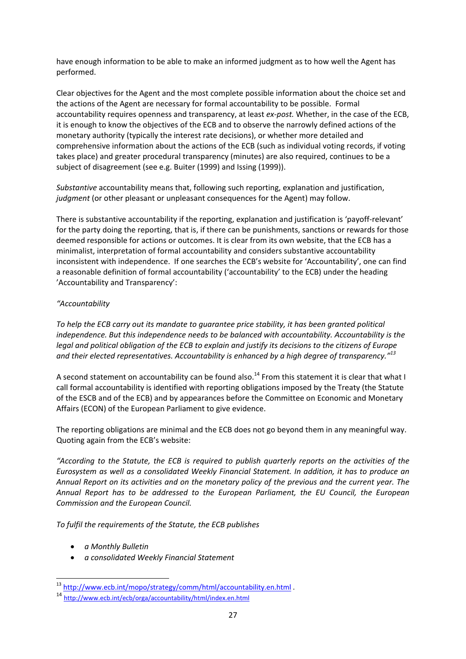have enough information to be able to make an informed judgment as to how well the Agent has performed.

Clear objectives for the Agent and the most complete possible information about the choice set and the actions of the Agent are necessary for formal accountability to be possible. Formal accountability requires openness and transparency, at least *ex‐post.* Whether, in the case of the ECB, it is enough to know the objectives of the ECB and to observe the narrowly defined actions of the monetary authority (typically the interest rate decisions), or whether more detailed and comprehensive information about the actions of the ECB (such as individual voting records, if voting takes place) and greater procedural transparency (minutes) are also required, continues to be a subject of disagreement (see e.g. Buiter (1999) and Issing (1999)).

*Substantive* accountability means that, following such reporting, explanation and justification, *judgment* (or other pleasant or unpleasant consequences for the Agent) may follow.

There is substantive accountability if the reporting, explanation and justification is 'payoff-relevant' for the party doing the reporting, that is, if there can be punishments, sanctions or rewards for those deemed responsible for actions or outcomes. It is clear from its own website, that the ECB has a minimalist, interpretation of formal accountability and considers substantive accountability inconsistent with independence. If one searches the ECB's website for 'Accountability', one can find a reasonable definition of formal accountability ('accountability' to the ECB) under the heading 'Accountability and Transparency':

### *"Accountability*

*To help the ECB carry out its mandate to guarantee price stability, it has been granted political independence. But this independence needs to be balanced with accountability. Accountability is the* legal and political obligation of the ECB to explain and justify its decisions to the citizens of Europe *and their elected representatives. Accountability is enhanced by a high degree of transparency."<sup>13</sup>*

A second statement on accountability can be found also.<sup>14</sup> From this statement it is clear that what I call formal accountability is identified with reporting obligations imposed by the Treaty (the Statute of the ESCB and of the ECB) and by appearances before the Committee on Economic and Monetary Affairs (ECON) of the European Parliament to give evidence.

The reporting obligations are minimal and the ECB does not go beyond them in any meaningful way. Quoting again from the ECB's website:

*"According to the Statute, the ECB is required to publish quarterly reports on the activities of the Eurosystem as well as a consolidated Weekly Financial Statement. In addition, it has to produce an* Annual Report on its activities and on the monetary policy of the previous and the current year. The *Annual Report has to be addressed to the European Parliament, the EU Council, the European Commission and the European Council.* 

*To fulfil the requirements of the Statute, the ECB publishes* 

- *a Monthly Bulletin*
- *a consolidated Weekly Financial Statement*

 <sup>13</sup> http://www.ecb.int/mopo/strategy/comm/html/accountability.en.html .

<sup>14</sup> http://www.ecb.int/ecb/orga/accountability/html/index.en.html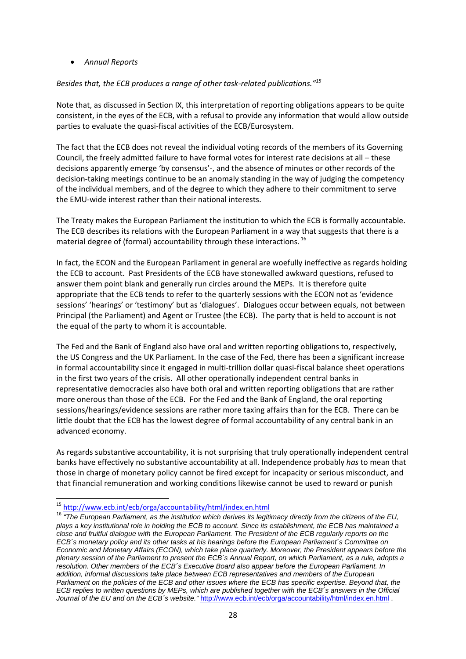*Annual Reports* 

### *Besides that, the ECB produces a range of other task‐related publications."<sup>15</sup>*

Note that, as discussed in Section IX, this interpretation of reporting obligations appears to be quite consistent, in the eyes of the ECB, with a refusal to provide any information that would allow outside parties to evaluate the quasi‐fiscal activities of the ECB/Eurosystem.

The fact that the ECB does not reveal the individual voting records of the members of its Governing Council, the freely admitted failure to have formal votes for interest rate decisions at all – these decisions apparently emerge 'by consensus'‐, and the absence of minutes or other records of the decision-taking meetings continue to be an anomaly standing in the way of judging the competency of the individual members, and of the degree to which they adhere to their commitment to serve the EMU‐wide interest rather than their national interests.

The Treaty makes the European Parliament the institution to which the ECB is formally accountable. The ECB describes its relations with the European Parliament in a way that suggests that there is a material degree of (formal) accountability through these interactions. <sup>16</sup>

In fact, the ECON and the European Parliament in general are woefully ineffective as regards holding the ECB to account. Past Presidents of the ECB have stonewalled awkward questions, refused to answer them point blank and generally run circles around the MEPs. It is therefore quite appropriate that the ECB tends to refer to the quarterly sessions with the ECON not as 'evidence sessions' 'hearings' or 'testimony' but as 'dialogues'. Dialogues occur between equals, not between Principal (the Parliament) and Agent or Trustee (the ECB). The party that is held to account is not the equal of the party to whom it is accountable.

The Fed and the Bank of England also have oral and written reporting obligations to, respectively, the US Congress and the UK Parliament. In the case of the Fed, there has been a significant increase in formal accountability since it engaged in multi-trillion dollar quasi-fiscal balance sheet operations in the first two years of the crisis. All other operationally independent central banks in representative democracies also have both oral and written reporting obligations that are rather more onerous than those of the ECB. For the Fed and the Bank of England, the oral reporting sessions/hearings/evidence sessions are rather more taxing affairs than for the ECB. There can be little doubt that the ECB has the lowest degree of formal accountability of any central bank in an advanced economy.

As regards substantive accountability, it is not surprising that truly operationally independent central banks have effectively no substantive accountability at all. Independence probably *has* to mean that those in charge of monetary policy cannot be fired except for incapacity or serious misconduct, and that financial remuneration and working conditions likewise cannot be used to reward or punish

<sup>&</sup>lt;sup>15</sup> http://www.ecb.int/ecb/orga/accountability/html/index.en.html

<sup>&</sup>lt;sup>16</sup> "The European Parliament, as the institution which derives its legitimacy directly from the citizens of the EU, *plays a key institutional role in holding the ECB to account. Since its establishment, the ECB has maintained a close and fruitful dialogue with the European Parliament. The President of the ECB regularly reports on the ECB´s monetary policy and its other tasks at his hearings before the European Parliament´s Committee on Economic and Monetary Affairs (ECON), which take place quarterly. Moreover, the President appears before the plenary session of the Parliament to present the ECB´s Annual Report, on which Parliament, as a rule, adopts a resolution. Other members of the ECB´s Executive Board also appear before the European Parliament. In addition, informal discussions take place between ECB representatives and members of the European Parliament on the policies of the ECB and other issues where the ECB has specific expertise. Beyond that, the ECB replies to written questions by MEPs, which are published together with the ECB´s answers in the Official Journal of the EU and on the ECB´s website."* http://www.ecb.int/ecb/orga/accountability/html/index.en.html .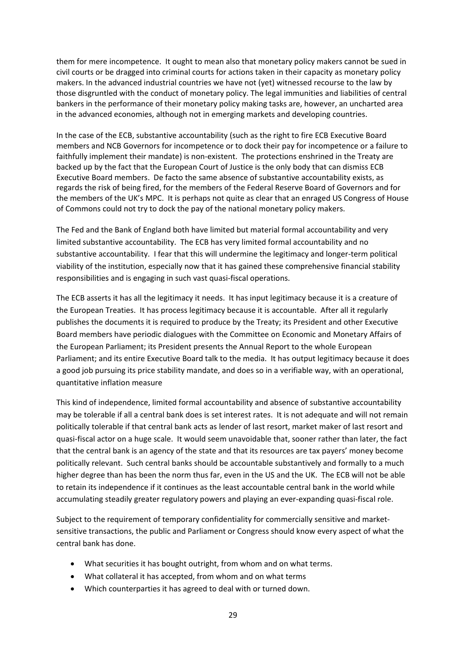them for mere incompetence. It ought to mean also that monetary policy makers cannot be sued in civil courts or be dragged into criminal courts for actions taken in their capacity as monetary policy makers. In the advanced industrial countries we have not (yet) witnessed recourse to the law by those disgruntled with the conduct of monetary policy. The legal immunities and liabilities of central bankers in the performance of their monetary policy making tasks are, however, an uncharted area in the advanced economies, although not in emerging markets and developing countries.

In the case of the ECB, substantive accountability (such as the right to fire ECB Executive Board members and NCB Governors for incompetence or to dock their pay for incompetence or a failure to faithfully implement their mandate) is non-existent. The protections enshrined in the Treaty are backed up by the fact that the European Court of Justice is the only body that can dismiss ECB Executive Board members. De facto the same absence of substantive accountability exists, as regards the risk of being fired, for the members of the Federal Reserve Board of Governors and for the members of the UK's MPC. It is perhaps not quite as clear that an enraged US Congress of House of Commons could not try to dock the pay of the national monetary policy makers.

The Fed and the Bank of England both have limited but material formal accountability and very limited substantive accountability. The ECB has very limited formal accountability and no substantive accountability. I fear that this will undermine the legitimacy and longer-term political viability of the institution, especially now that it has gained these comprehensive financial stability responsibilities and is engaging in such vast quasi‐fiscal operations.

The ECB asserts it has all the legitimacy it needs. It has input legitimacy because it is a creature of the European Treaties. It has process legitimacy because it is accountable. After all it regularly publishes the documents it is required to produce by the Treaty; its President and other Executive Board members have periodic dialogues with the Committee on Economic and Monetary Affairs of the European Parliament; its President presents the Annual Report to the whole European Parliament; and its entire Executive Board talk to the media. It has output legitimacy because it does a good job pursuing its price stability mandate, and does so in a verifiable way, with an operational, quantitative inflation measure

This kind of independence, limited formal accountability and absence of substantive accountability may be tolerable if all a central bank does is set interest rates. It is not adequate and will not remain politically tolerable if that central bank acts as lender of last resort, market maker of last resort and quasi‐fiscal actor on a huge scale. It would seem unavoidable that, sooner rather than later, the fact that the central bank is an agency of the state and that its resources are tax payers' money become politically relevant. Such central banks should be accountable substantively and formally to a much higher degree than has been the norm thus far, even in the US and the UK. The ECB will not be able to retain its independence if it continues as the least accountable central bank in the world while accumulating steadily greater regulatory powers and playing an ever‐expanding quasi‐fiscal role.

Subject to the requirement of temporary confidentiality for commercially sensitive and marketsensitive transactions, the public and Parliament or Congress should know every aspect of what the central bank has done.

- What securities it has bought outright, from whom and on what terms.
- What collateral it has accepted, from whom and on what terms
- Which counterparties it has agreed to deal with or turned down.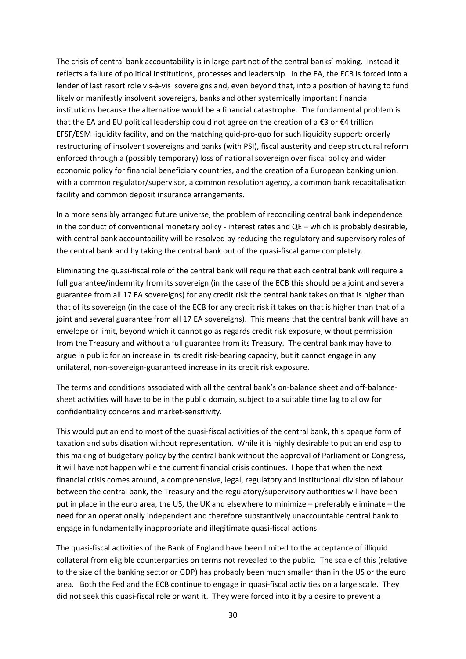The crisis of central bank accountability is in large part not of the central banks' making. Instead it reflects a failure of political institutions, processes and leadership. In the EA, the ECB is forced into a lender of last resort role vis-à-vis sovereigns and, even beyond that, into a position of having to fund likely or manifestly insolvent sovereigns, banks and other systemically important financial institutions because the alternative would be a financial catastrophe. The fundamental problem is that the EA and EU political leadership could not agree on the creation of a  $\epsilon$ 3 or  $\epsilon$ 4 trillion EFSF/ESM liquidity facility, and on the matching quid‐pro‐quo for such liquidity support: orderly restructuring of insolvent sovereigns and banks (with PSI), fiscal austerity and deep structural reform enforced through a (possibly temporary) loss of national sovereign over fiscal policy and wider economic policy for financial beneficiary countries, and the creation of a European banking union, with a common regulator/supervisor, a common resolution agency, a common bank recapitalisation facility and common deposit insurance arrangements.

In a more sensibly arranged future universe, the problem of reconciling central bank independence in the conduct of conventional monetary policy - interest rates and QE – which is probably desirable, with central bank accountability will be resolved by reducing the regulatory and supervisory roles of the central bank and by taking the central bank out of the quasi-fiscal game completely.

Eliminating the quasi‐fiscal role of the central bank will require that each central bank will require a full guarantee/indemnity from its sovereign (in the case of the ECB this should be a joint and several guarantee from all 17 EA sovereigns) for any credit risk the central bank takes on that is higher than that of its sovereign (in the case of the ECB for any credit risk it takes on that is higher than that of a joint and several guarantee from all 17 EA sovereigns). This means that the central bank will have an envelope or limit, beyond which it cannot go as regards credit risk exposure, without permission from the Treasury and without a full guarantee from its Treasury. The central bank may have to argue in public for an increase in its credit risk‐bearing capacity, but it cannot engage in any unilateral, non‐sovereign‐guaranteed increase in its credit risk exposure.

The terms and conditions associated with all the central bank's on‐balance sheet and off‐balance‐ sheet activities will have to be in the public domain, subject to a suitable time lag to allow for confidentiality concerns and market‐sensitivity.

This would put an end to most of the quasi‐fiscal activities of the central bank, this opaque form of taxation and subsidisation without representation. While it is highly desirable to put an end asp to this making of budgetary policy by the central bank without the approval of Parliament or Congress, it will have not happen while the current financial crisis continues. I hope that when the next financial crisis comes around, a comprehensive, legal, regulatory and institutional division of labour between the central bank, the Treasury and the regulatory/supervisory authorities will have been put in place in the euro area, the US, the UK and elsewhere to minimize – preferably eliminate – the need for an operationally independent and therefore substantively unaccountable central bank to engage in fundamentally inappropriate and illegitimate quasi‐fiscal actions.

The quasi‐fiscal activities of the Bank of England have been limited to the acceptance of illiquid collateral from eligible counterparties on terms not revealed to the public. The scale of this (relative to the size of the banking sector or GDP) has probably been much smaller than in the US or the euro area. Both the Fed and the ECB continue to engage in quasi-fiscal activities on a large scale. They did not seek this quasi‐fiscal role or want it. They were forced into it by a desire to prevent a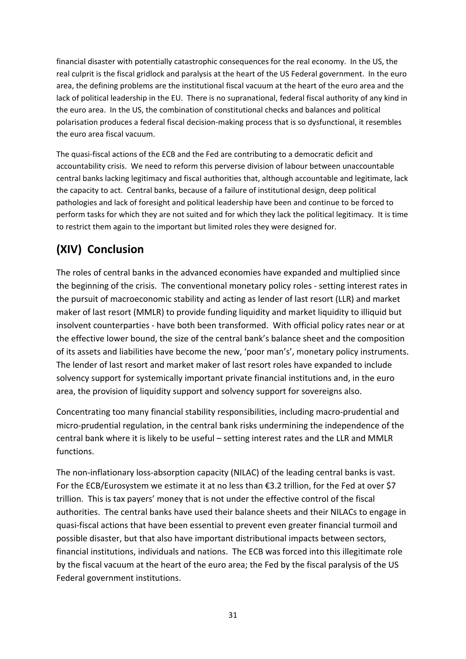financial disaster with potentially catastrophic consequences for the real economy. In the US, the real culprit is the fiscal gridlock and paralysis at the heart of the US Federal government. In the euro area, the defining problems are the institutional fiscal vacuum at the heart of the euro area and the lack of political leadership in the EU. There is no supranational, federal fiscal authority of any kind in the euro area. In the US, the combination of constitutional checks and balances and political polarisation produces a federal fiscal decision‐making process that is so dysfunctional, it resembles the euro area fiscal vacuum.

The quasi-fiscal actions of the ECB and the Fed are contributing to a democratic deficit and accountability crisis. We need to reform this perverse division of labour between unaccountable central banks lacking legitimacy and fiscal authorities that, although accountable and legitimate, lack the capacity to act. Central banks, because of a failure of institutional design, deep political pathologies and lack of foresight and political leadership have been and continue to be forced to perform tasks for which they are not suited and for which they lack the political legitimacy. It is time to restrict them again to the important but limited roles they were designed for.

# **(XIV) Conclusion**

The roles of central banks in the advanced economies have expanded and multiplied since the beginning of the crisis. The conventional monetary policy roles ‐ setting interest rates in the pursuit of macroeconomic stability and acting as lender of last resort (LLR) and market maker of last resort (MMLR) to provide funding liquidity and market liquidity to illiquid but insolvent counterparties ‐ have both been transformed. With official policy rates near or at the effective lower bound, the size of the central bank's balance sheet and the composition of its assets and liabilities have become the new, 'poor man's', monetary policy instruments. The lender of last resort and market maker of last resort roles have expanded to include solvency support for systemically important private financial institutions and, in the euro area, the provision of liquidity support and solvency support for sovereigns also.

Concentrating too many financial stability responsibilities, including macro‐prudential and micro‐prudential regulation, in the central bank risks undermining the independence of the central bank where it is likely to be useful – setting interest rates and the LLR and MMLR functions.

The non‐inflationary loss‐absorption capacity (NILAC) of the leading central banks is vast. For the ECB/Eurosystem we estimate it at no less than €3.2 trillion, for the Fed at over \$7 trillion. This is tax payers' money that is not under the effective control of the fiscal authorities. The central banks have used their balance sheets and their NILACs to engage in quasi‐fiscal actions that have been essential to prevent even greater financial turmoil and possible disaster, but that also have important distributional impacts between sectors, financial institutions, individuals and nations. The ECB was forced into this illegitimate role by the fiscal vacuum at the heart of the euro area; the Fed by the fiscal paralysis of the US Federal government institutions.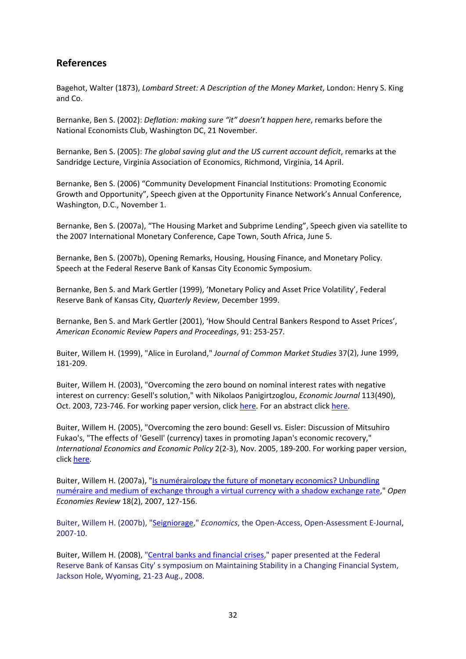### **References**

Bagehot, Walter (1873), *Lombard Street: A Description of the Money Market*, London: Henry S. King and Co.

Bernanke, Ben S. (2002): *Deflation: making sure "it" doesn't happen here*, remarks before the National Economists Club, Washington DC, 21 November.

Bernanke, Ben S. (2005): *The global saving glut and the US current account deficit*, remarks at the Sandridge Lecture, Virginia Association of Economics, Richmond, Virginia, 14 April.

Bernanke, Ben S. (2006) "Community Development Financial Institutions: Promoting Economic Growth and Opportunity", Speech given at the Opportunity Finance Network's Annual Conference, Washington, D.C., November 1.

Bernanke, Ben S. (2007a), "The Housing Market and Subprime Lending", Speech given via satellite to the 2007 International Monetary Conference, Cape Town, South Africa, June 5.

Bernanke, Ben S. (2007b), Opening Remarks, Housing, Housing Finance, and Monetary Policy. Speech at the Federal Reserve Bank of Kansas City Economic Symposium.

Bernanke, Ben S. and Mark Gertler (1999), 'Monetary Policy and Asset Price Volatility', Federal Reserve Bank of Kansas City, *Quarterly Review*, December 1999.

Bernanke, Ben S. and Mark Gertler (2001), 'How Should Central Bankers Respond to Asset Prices', *American Economic Review Papers and Proceedings*, 91: 253‐257.

Buiter, Willem H. (1999), "Alice in Euroland," *Journal of Common Market Studies* 37(2), June 1999, 181‐209.

Buiter, Willem H. (2003), "Overcoming the zero bound on nominal interest rates with negative interest on currency: Gesell's solution," with Nikolaos Panigirtzoglou, *Economic Journal* 113(490), Oct. 2003, 723-746. For working paper version, click here. For an abstract click here.

Buiter, Willem H. (2005), "Overcoming the zero bound: Gesell vs. Eisler: Discussion of Mitsuhiro Fukao's, "The effects of 'Gesell' (currency) taxes in promoting Japan's economic recovery," *International Economics and Economic Policy* 2(2‐3), Nov. 2005, 189‐200. For working paper version, click here.

Buiter, Willem H. (2007a), "Is numérairology the future of monetary economics? Unbundling numéraire and medium of exchange through a virtual currency with a shadow exchange rate," *Open Economies Review* 18(2), 2007, 127‐156.

Buiter, Willem H. (2007b), "Seigniorage," *Economics*, the Open‐Access, Open‐Assessment E‐Journal, 2007‐10.

Buiter, Willem H. (2008), "Central banks and financial crises," paper presented at the Federal Reserve Bank of Kansas City' s symposium on Maintaining Stability in a Changing Financial System, Jackson Hole, Wyoming, 21‐23 Aug., 2008.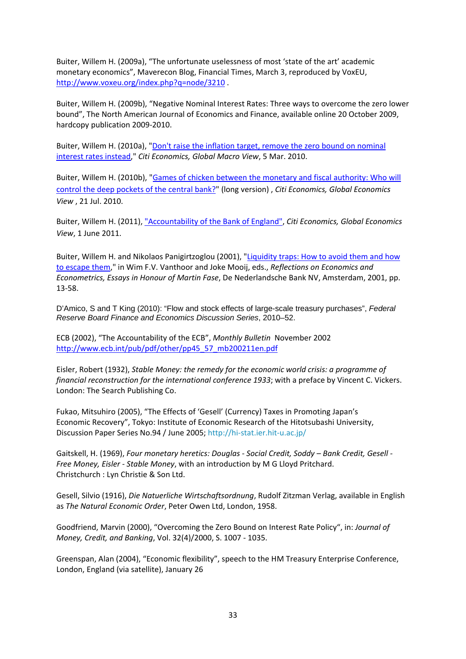Buiter, Willem H. (2009a), "The unfortunate uselessness of most 'state of the art' academic monetary economics", Maverecon Blog, Financial Times, March 3, reproduced by VoxEU, http://www.voxeu.org/index.php?q=node/3210 .

Buiter, Willem H. (2009b), "Negative Nominal Interest Rates: Three ways to overcome the zero lower bound", The North American Journal of Economics and Finance, available online 20 October 2009, hardcopy publication 2009‐2010.

Buiter, Willem H. (2010a), "Don't raise the inflation target, remove the zero bound on nominal interest rates instead," *Citi Economics, Global Macro View*, 5 Mar. 2010.

Buiter, Willem H. (2010b), "Games of chicken between the monetary and fiscal authority: Who will control the deep pockets of the central bank?" (long version) , *Citi Economics, Global Economics View* , 21 Jul. 2010.

Buiter, Willem H. (2011), "Accountability of the Bank of England", *Citi Economics, Global Economics View*, 1 June 2011.

Buiter, Willem H. and Nikolaos Panigirtzoglou (2001), "Liquidity traps: How to avoid them and how to escape them," in Wim F.V. Vanthoor and Joke Mooij, eds., *Reflections on Economics and Econometrics, Essays in Honour of Martin Fase*, De Nederlandsche Bank NV, Amsterdam, 2001, pp. 13‐58.

D'Amico, S and T King (2010): "Flow and stock effects of large-scale treasury purchases", *Federal Reserve Board Finance and Economics Discussion Series*, 2010–52.

ECB (2002), "The Accountability of the ECB", *Monthly Bulletin* November 2002 http://www.ecb.int/pub/pdf/other/pp45\_57\_mb200211en.pdf

Eisler, Robert (1932), *Stable Money: the remedy for the economic world crisis: a programme of financial reconstruction for the international conference 1933*; with a preface by Vincent C. Vickers. London: The Search Publishing Co.

Fukao, Mitsuhiro (2005), "The Effects of 'Gesell' (Currency) Taxes in Promoting Japan's Economic Recovery", Tokyo: Institute of Economic Research of the Hitotsubashi University, Discussion Paper Series No.94 / June 2005; http://hi‐stat.ier.hit‐u.ac.jp/

Gaitskell, H. (1969), *Four monetary heretics: Douglas ‐ Social Credit, Soddy – Bank Credit, Gesell ‐ Free Money, Eisler ‐ Stable Money*, with an introduction by M G Lloyd Pritchard. Christchurch : Lyn Christie & Son Ltd.

Gesell, Silvio (1916), *Die Natuerliche Wirtschaftsordnung*, Rudolf Zitzman Verlag, available in English as *The Natural Economic Order*, Peter Owen Ltd, London, 1958.

Goodfriend, Marvin (2000), "Overcoming the Zero Bound on Interest Rate Policy", in: *Journal of Money, Credit, and Banking*, Vol. 32(4)/2000, S. 1007 ‐ 1035.

Greenspan, Alan (2004), "Economic flexibility", speech to the HM Treasury Enterprise Conference, London, England (via satellite), January 26